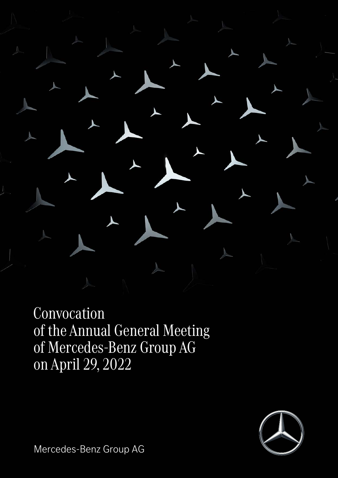

Convocation of the Annual General Meeting of Mercedes-Benz Group AG on April 29, 2022



Mercedes-Benz Group AG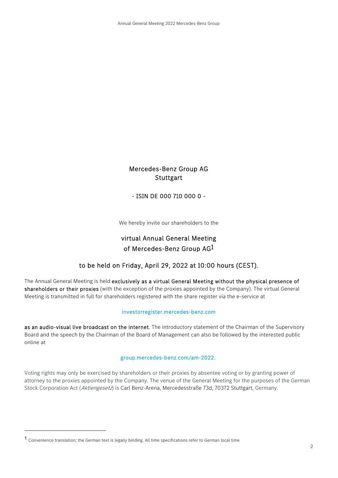# Mercedes-Benz Group AG **Stuttgart**

- ISIN DE 000 710 000 0 -

We hereby invite our shareholders to the

# virtual Annual General Meeting of Mercedes-Benz Group AG1

## to be held on Friday, April 29, 2022 at 10:00 hours (CEST).

The Annual General Meeting is held exclusively as a virtual General Meeting without the physical presence of shareholders or their proxies (with the exception of the proxies appointed by the Company). The virtual General Meeting is transmitted in full for shareholders registered with the share register via the e-service at

### investorregister.mercedes-benz.com

as an audio-visual live broadcast on the internet. The introductory statement of the Chairman of the Supervisory Board and the speech by the Chairman of the Board of Management can also be followed by the interested public online at

### group.mercedes-benz.com/am-2022.

Voting rights may only be exercised by shareholders or their proxies by absentee voting or by granting power of attorney to the proxies appointed by the Company. The venue of the General Meeting for the purposes of the German Stock Corporation Act (Aktiengesetz) is Carl Benz-Arena, Mercedesstraße 73d, 70372 Stuttgart, Germany.

 $\overline{a}$ 

<sup>1</sup> Convenience translation; the German text is legally binding. All time specifications refer to German local time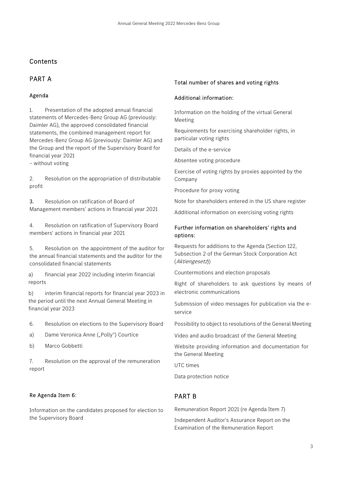# Contents

# PART A

### Agenda

1. Presentation of the adopted annual financial statements of Mercedes-Benz Group AG (previously: Daimler AG), the approved consolidated financial statements, the combined management report for Mercedes-Benz Group AG (previously: Daimler AG) and the Group and the report of the Supervisory Board for financial year 2021

– without voting

2. Resolution on the appropriation of distributable profit

3. Resolution on ratification of Board of Management members' actions in financial year 2021

4. Resolution on ratification of Supervisory Board members' actions in financial year 2021

5. Resolution on the appointment of the auditor for the annual financial statements and the auditor for the consolidated financial statements

a) financial year 2022 including interim financial reports

b) interim financial reports for financial year 2023 in the period until the next Annual General Meeting in financial year 2023

6. Resolution on elections to the Supervisory Board

a) Dame Veronica Anne ("Polly") Courtice

b) Marco Gobbetti

7. Resolution on the approval of the remuneration report

### Re Agenda Item 6:

Information on the candidates proposed for election to the Supervisory Board

### Total number of shares and voting rights

### Additional information:

Information on the holding of the virtual General Meeting

Requirements for exercising shareholder rights, in particular voting rights

Details of the e-service

Absentee voting procedure

Exercise of voting rights by proxies appointed by the Company

Procedure for proxy voting

Note for shareholders entered in the US share register

Additional information on exercising voting rights

### Further information on shareholders' rights and options:

Requests for additions to the Agenda (Section 122, Subsection 2 of the German Stock Corporation Act (Aktiengesetz))

Countermotions and election proposals

Right of shareholders to ask questions by means of electronic communications

Submission of video messages for publication via the eservice

Possibility to object to resolutions of the General Meeting

Video and audio broadcast of the General Meeting

Website providing information and documentation for the General Meeting

UTC times

Data protection notice

# PART B

Remuneration Report 2021 (re Agenda Item 7)

Independent Auditor's Assurance Report on the Examination of the Remuneration Report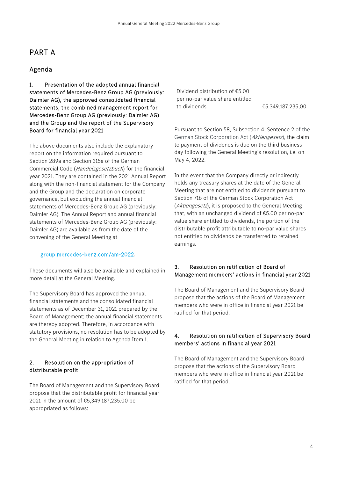# PART A

### Agenda

1. Presentation of the adopted annual financial statements of Mercedes-Benz Group AG (previously: Daimler AG), the approved consolidated financial statements, the combined management report for Mercedes-Benz Group AG (previously: Daimler AG) and the Group and the report of the Supervisory Board for financial year 2021

The above documents also include the explanatory report on the information required pursuant to Section 289a and Section 315a of the German Commercial Code (*Handelsgesetzbuch*) for the financial year 2021. They are contained in the 2021 Annual Report along with the non-financial statement for the Company and the Group and the declaration on corporate governance, but excluding the annual financial statements of Mercedes-Benz Group AG (previously: Daimler AG). The Annual Report and annual financial statements of Mercedes-Benz Group AG (previously: Daimler AG) are available as from the date of the convening of the General Meeting at

### group.mercedes-benz.com/am-2022.

These documents will also be available and explained in more detail at the General Meeting.

The Supervisory Board has approved the annual financial statements and the consolidated financial statements as of December 31, 2021 prepared by the Board of Management; the annual financial statements are thereby adopted. Therefore, in accordance with statutory provisions, no resolution has to be adopted by the General Meeting in relation to Agenda Item 1.

### 2. Resolution on the appropriation of distributable profit

The Board of Management and the Supervisory Board propose that the distributable profit for financial year 2021 in the amount of €5,349,187,235.00 be appropriated as follows:

Dividend distribution of €5.00 per no-par value share entitled to dividends €5.349.187.235,00

Pursuant to Section 58, Subsection 4, Sentence 2 of the German Stock Corporation Act (Aktiengesetz), the claim to payment of dividends is due on the third business day following the General Meeting's resolution, i.e. on May 4, 2022.

 In the event that the Company directly or indirectly holds any treasury shares at the date of the General Meeting that are not entitled to dividends pursuant to Section 71b of the German Stock Corporation Act (Aktiengesetz), it is proposed to the General Meeting that, with an unchanged dividend of €5.00 per no-par value share entitled to dividends, the portion of the distributable profit attributable to no-par value shares not entitled to dividends be transferred to retained earnings.

### 3. Resolution on ratification of Board of Management members' actions in financial year 2021

 The Board of Management and the Supervisory Board propose that the actions of the Board of Management members who were in office in financial year 2021 be ratified for that period.

### 4. Resolution on ratification of Supervisory Board members' actions in financial year 2021

 The Board of Management and the Supervisory Board propose that the actions of the Supervisory Board members who were in office in financial year 2021 be ratified for that period.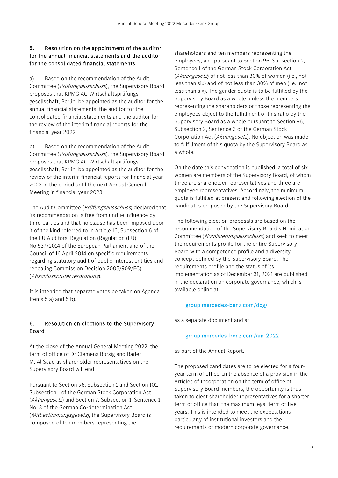### **5.** Resolution on the appointment of the auditor for the annual financial statements and the auditor for the consolidated financial statements

a) Based on the recommendation of the Audit Committee (*Prüfungsausschuss*), the Supervisory Board proposes that KPMG AG Wirtschaftsprüfungsgesellschaft, Berlin, be appointed as the auditor for the annual financial statements, the auditor for the consolidated financial statements and the auditor for the review of the interim financial reports for the financial year 2022.

b) Based on the recommendation of the Audit Committee (Prüfungsausschuss), the Supervisory Board proposes that KPMG AG Wirtschaftsprüfungsgesellschaft, Berlin, be appointed as the auditor for the review of the interim financial reports for financial year 2023 in the period until the next Annual General Meeting in financial year 2023.

The Audit Committee (Prüfungsausschuss) declared that its recommendation is free from undue influence by third parties and that no clause has been imposed upon it of the kind referred to in Article 16, Subsection 6 of the EU Auditors' Regulation (Regulation (EU) No 537/2014 of the European Parliament and of the Council of 16 April 2014 on specific requirements regarding statutory audit of public-interest entities and repealing Commission Decision 2005/909/EC) (Abschlussprüferverordnung).

It is intended that separate votes be taken on Agenda Items  $5$  a) and  $5$  b).

### 6. Resolution on elections to the Supervisory Board

At the close of the Annual General Meeting 2022, the term of office of Dr Clemens Börsig and Bader M. Al Saad as shareholder representatives on the Supervisory Board will end.

Pursuant to Section 96, Subsection 1 and Section 101, Subsection 1 of the German Stock Corporation Act (Aktiengesetz) and Section 7, Subsection 1, Sentence 1, No. 3 of the German Co-determination Act (Mitbestimmungsgesetz), the Supervisory Board is composed of ten members representing the

shareholders and ten members representing the employees, and pursuant to Section 96, Subsection 2, Sentence 1 of the German Stock Corporation Act (*Aktiengesetz*) of not less than 30% of women (i.e., not less than six) and of not less than 30% of men (i.e., not less than six). The gender quota is to be fulfilled by the Supervisory Board as a whole, unless the members representing the shareholders or those representing the employees object to the fulfillment of this ratio by the Supervisory Board as a whole pursuant to Section 96, Subsection 2, Sentence 3 of the German Stock Corporation Act (Aktiengesetz). No objection was made to fulfillment of this quota by the Supervisory Board as a whole.

On the date this convocation is published, a total of six women are members of the Supervisory Board, of whom three are shareholder representatives and three are employee representatives. Accordingly, the minimum quota is fulfilled at present and following election of the candidates proposed by the Supervisory Board.

The following election proposals are based on the recommendation of the Supervisory Board's Nomination Committee (Nominierungsausschuss) and seek to meet the requirements profile for the entire Supervisory Board with a competence profile and a diversity concept defined by the Supervisory Board. The requirements profile and the status of its implementation as of December 31, 2021 are published in the declaration on corporate governance, which is available online at

### group.mercedes-benz.com/dcg/

as a separate document and at

### group.mercedes-benz.com/am-2022

as part of the Annual Report.

The proposed candidates are to be elected for a fouryear term of office. In the absence of a provision in the Articles of Incorporation on the term of office of Supervisory Board members, the opportunity is thus taken to elect shareholder representatives for a shorter term of office than the maximum legal term of five years. This is intended to meet the expectations particularly of institutional investors and the requirements of modern corporate governance.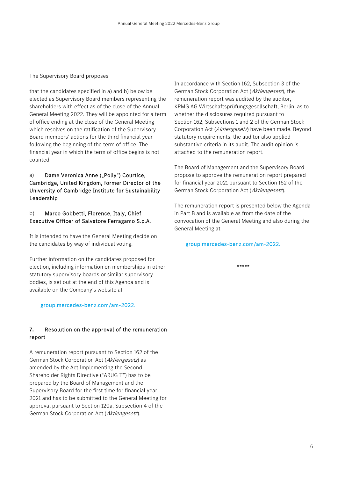### The Supervisory Board proposes

that the candidates specified in a) and b) below be elected as Supervisory Board members representing the shareholders with effect as of the close of the Annual General Meeting 2022. They will be appointed for a term of office ending at the close of the General Meeting which resolves on the ratification of the Supervisory Board members' actions for the third financial year following the beginning of the term of office. The financial year in which the term of office begins is not counted.

### a) Dame Veronica Anne ("Polly") Courtice, Cambridge, United Kingdom, former Director of the University of Cambridge Institute for Sustainability Leadership

### b) Marco Gobbetti, Florence, Italy, Chief Executive Officer of Salvatore Ferragamo S.p.A.

It is intended to have the General Meeting decide on the candidates by way of individual voting.

Further information on the candidates proposed for election, including information on memberships in other statutory supervisory boards or similar supervisory bodies, is set out at the end of this Agenda and is available on the Company's website at

### group.mercedes-benz.com/am-2022.

### **7.** Resolution on the approval of the remuneration report

A remuneration report pursuant to Section 162 of the German Stock Corporation Act (Aktiengesetz) as amended by the Act Implementing the Second Shareholder Rights Directive ("ARUG II") has to be prepared by the Board of Management and the Supervisory Board for the first time for financial year 2021 and has to be submitted to the General Meeting for approval pursuant to Section 120a, Subsection 4 of the German Stock Corporation Act (Aktiengesetz).

In accordance with Section 162, Subsection 3 of the German Stock Corporation Act (Aktiengesetz), the remuneration report was audited by the auditor, KPMG AG Wirtschaftsprüfungsgesellschaft, Berlin, as to whether the disclosures required pursuant to Section 162, Subsections 1 and 2 of the German Stock Corporation Act (Aktiengesetz) have been made. Beyond statutory requirements, the auditor also applied substantive criteria in its audit. The audit opinion is attached to the remuneration report.

The Board of Management and the Supervisory Board propose to approve the remuneration report prepared for financial year 2021 pursuant to Section 162 of the German Stock Corporation Act (Aktiengesetz).

The remuneration report is presented below the Agenda in Part B and is available as from the date of the convocation of the General Meeting and also during the General Meeting at

### group.mercedes-benz.com/am-2022.

\*\*\*\*\*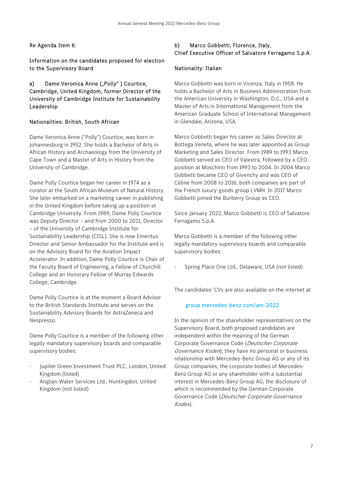Re Agenda Item 6:

Information on the candidates proposed for election to the Supervisory Board

a) Dame Veronica Anne ("Polly") Courtice, Cambridge, United Kingdom, former Director of the University of Cambridge Institute for Sustainability Leadership

### Nationalities: British, South African

Dame Veronica Anne ("Polly") Courtice, was born in Johannesburg in 1952. She holds a Bachelor of Arts in African History and Archaeology from the University of Cape Town and a Master of Arts in History from the University of Cambridge.

Dame Polly Courtice began her career in 1974 as a curator at the South African Museum of Natural History. She later embarked on a marketing career in publishing in the United Kingdom before taking up a position at Cambridge University. From 1989, Dame Polly Courtice was Deputy Director – and from 2000 to 2021, Director – of the University of Cambridge Institute for Sustainability Leadership (CISL). She is now Emeritus Director and Senior Ambassador for the Institute and is on the Advisory Board for the Aviation Impact Accelerator. In addition, Dame Polly Courtice is Chair of the Faculty Board of Engineering, a Fellow of Churchill College and an Honorary Fellow of Murray Edwards College, Cambridge.

Dame Polly Courtice is at the moment a Board Advisor to the British Standards Institute and serves on the Sustainability Advisory Boards for AstraZeneca and Nespresso.

Dame Polly Courtice is a member of the following other legally mandatory supervisory boards and comparable supervisory bodies:

- Jupiter Green Investment Trust PLC, London, United Kingdom (listed)
- Anglian Water Services Ltd., Huntingdon, United Kingdom (not listed)

# b) Marco Gobbetti, Florence, Italy, Chief Executive Officer of Salvatore Ferragamo S.p.A.

### Nationality: Italian

Marco Gobbetti was born in Vicenza, Italy in 1958. He holds a Bachelor of Arts in Business Administration from the American University in Washington, D.C., USA and a Master of Arts in International Management from the American Graduate School of International Management in Glendale, Arizona, USA.

Marco Gobbetti began his career as Sales Director at Bottega Veneta, where he was later appointed as Group Marketing and Sales Director. From 1989 to 1993 Marco Gobbetti served as CEO of Valextra, followed by a CEO position at Moschino from 1993 to 2004. In 2004 Marco Gobbetti became CEO of Givenchy and was CEO of Céline from 2008 to 2016; both companies are part of the French luxury-goods group LVMH. In 2017 Marco Gobbetti joined the Burberry Group as CEO.

Since January 2022, Marco Gobbetti is CEO of Salvatore Ferragamo S.p.A.

Marco Gobbetti is a member of the following other legally mandatory supervisory boards and comparable supervisory bodies:

- Spring Place One Ltd., Delaware, USA (not listed)

The candidates' CVs are also available on the internet at

### group.mercedes-benz.com/am-2022.

In the opinion of the shareholder representatives on the Supervisory Board, both proposed candidates are independent within the meaning of the German Corporate Governance Code (Deutscher Corporate Governance Kodex); they have no personal or business relationship with Mercedes-Benz Group AG or any of its Group companies, the corporate bodies of Mercedes-Benz Group AG or any shareholder with a substantial interest in Mercedes-Benz Group AG, the disclosure of which is recommended by the German Corporate Governance Code (Deutscher Corporate Governance Kodex).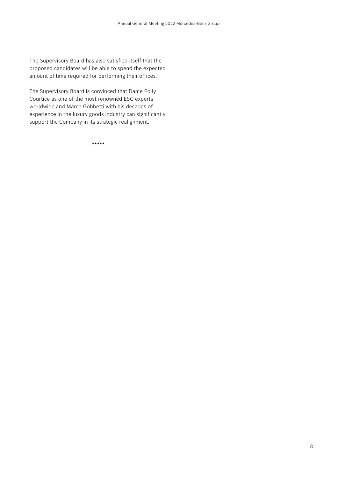The Supervisory Board has also satisfied itself that the proposed candidates will be able to spend the expected amount of time required for performing their offices.

The Supervisory Board is convinced that Dame Polly Courtice as one of the most renowned ESG experts worldwide and Marco Gobbetti with his decades of experience in the luxury goods industry can significantly support the Company in its strategic realignment.

\*\*\*\*\*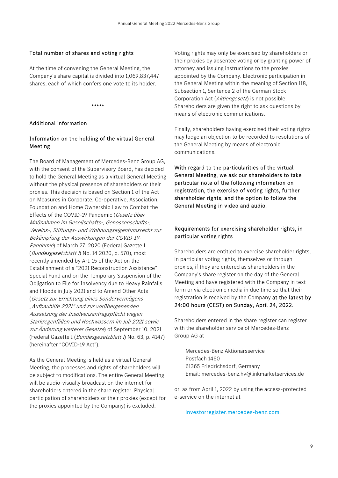### Total number of shares and voting rights

At the time of convening the General Meeting, the Company's share capital is divided into 1,069,837,447 shares, each of which confers one vote to its holder.

\*\*\*\*\*

### Additional information

### Information on the holding of the virtual General Meeting

The Board of Management of Mercedes-Benz Group AG, with the consent of the Supervisory Board, has decided to hold the General Meeting as a virtual General Meeting without the physical presence of shareholders or their proxies. This decision is based on Section 1 of the Act on Measures in Corporate, Co-operative, Association, Foundation and Home Ownership Law to Combat the Effects of the COVID-19 Pandemic (Gesetz über Maßnahmen im Gesellschafts-, Genossenschafts-, Vereins-, Stiftungs- und Wohnungseigentumsrecht zur Bekämpfung der Auswirkungen der COVID-19- Pandemie) of March 27, 2020 (Federal Gazette I (Bundesgesetzblatt I) No. 14 2020, p. 570), most recently amended by Art. 15 of the Act on the Establishment of a "2021 Reconstruction Assistance" Special Fund and on the Temporary Suspension of the Obligation to File for Insolvency due to Heavy Rainfalls and Floods in July 2021 and to Amend Other Acts (Gesetz zur Errichtung eines Sondervermögens "Aufbauhilfe 2021" und zur vorübergehenden Aussetzung der Insolvenzantragspflicht wegen Starkregenfällen und Hochwassern im Juli 2021 sowie zur Änderung weiterer Gesetze) of September 10, 2021 (Federal Gazette I (Bundesgesetzblatt I) No. 63, p. 4147) (hereinafter "COVID-19 Act").

As the General Meeting is held as a virtual General Meeting, the processes and rights of shareholders will be subject to modifications. The entire General Meeting will be audio-visually broadcast on the internet for shareholders entered in the share register. Physical participation of shareholders or their proxies (except for the proxies appointed by the Company) is excluded.

Voting rights may only be exercised by shareholders or their proxies by absentee voting or by granting power of attorney and issuing instructions to the proxies appointed by the Company. Electronic participation in the General Meeting within the meaning of Section 118, Subsection 1, Sentence 2 of the German Stock Corporation Act (Aktiengesetz) is not possible. Shareholders are given the right to ask questions by means of electronic communications.

Finally, shareholders having exercised their voting rights may lodge an objection to be recorded to resolutions of the General Meeting by means of electronic communications.

With regard to the particularities of the virtual General Meeting, we ask our shareholders to take particular note of the following information on registration, the exercise of voting rights, further shareholder rights, and the option to follow the General Meeting in video and audio.

### Requirements for exercising shareholder rights, in particular voting rights

Shareholders are entitled to exercise shareholder rights, in particular voting rights, themselves or through proxies, if they are entered as shareholders in the Company's share register on the day of the General Meeting and have registered with the Company in text form or via electronic media in due time so that their registration is received by the Company at the latest by 24:00 hours (CEST) on Sunday, April 24, 2022.

Shareholders entered in the share register can register with the shareholder service of Mercedes-Benz Group AG at

Mercedes-Benz Aktionärsservice Postfach 1460 61365 Friedrichsdorf, Germany Email: mercedes-benz.hv@linkmarketservices.de

or, as from April 1, 2022 by using the access-protected e-service on the internet at

### investorregister.mercedes-benz.com.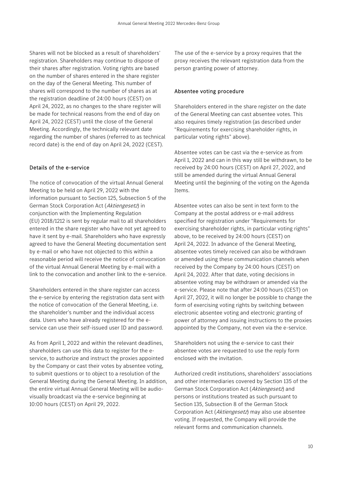Shares will not be blocked as a result of shareholders' registration. Shareholders may continue to dispose of their shares after registration. Voting rights are based on the number of shares entered in the share register on the day of the General Meeting. This number of shares will correspond to the number of shares as at the registration deadline of 24:00 hours (CEST) on April 24, 2022, as no changes to the share register will be made for technical reasons from the end of day on April 24, 2022 (CEST) until the close of the General Meeting. Accordingly, the technically relevant date regarding the number of shares (referred to as technical record date) is the end of day on April 24, 2022 (CEST).

### Details of the e-service

The notice of convocation of the virtual Annual General Meeting to be held on April 29, 2022 with the information pursuant to Section 125, Subsection 5 of the German Stock Corporation Act (Aktiengesetz) in conjunction with the Implementing Regulation (EU) 2018/1212 is sent by regular mail to all shareholders entered in the share register who have not yet agreed to have it sent by e-mail. Shareholders who have expressly agreed to have the General Meeting documentation sent by e-mail or who have not objected to this within a reasonable period will receive the notice of convocation of the virtual Annual General Meeting by e-mail with a link to the convocation and another link to the e-service.

Shareholders entered in the share register can access the e-service by entering the registration data sent with the notice of convocation of the General Meeting, i.e. the shareholder's number and the individual access data. Users who have already registered for the eservice can use their self-issued user ID and password.

As from April 1, 2022 and within the relevant deadlines, shareholders can use this data to register for the eservice, to authorize and instruct the proxies appointed by the Company or cast their votes by absentee voting, to submit questions or to object to a resolution of the General Meeting during the General Meeting. In addition, the entire virtual Annual General Meeting will be audiovisually broadcast via the e-service beginning at 10:00 hours (CEST) on April 29, 2022.

The use of the e-service by a proxy requires that the proxy receives the relevant registration data from the person granting power of attorney.

### Absentee voting procedure

Shareholders entered in the share register on the date of the General Meeting can cast absentee votes. This also requires timely registration (as described under "Requirements for exercising shareholder rights, in particular voting rights" above).

Absentee votes can be cast via the e-service as from April 1, 2022 and can in this way still be withdrawn, to be received by 24:00 hours (CEST) on April 27, 2022, and still be amended during the virtual Annual General Meeting until the beginning of the voting on the Agenda Items.

Absentee votes can also be sent in text form to the Company at the postal address or e-mail address specified for registration under "Requirements for exercising shareholder rights, in particular voting rights" above, to be received by 24:00 hours (CEST) on April 24, 2022. In advance of the General Meeting, absentee votes timely received can also be withdrawn or amended using these communication channels when received by the Company by 24:00 hours (CEST) on April 24, 2022. After that date, voting decisions in absentee voting may be withdrawn or amended via the e-service. Please note that after 24:00 hours (CEST) on April 27, 2022, it will no longer be possible to change the form of exercising voting rights by switching between electronic absentee voting and electronic granting of power of attorney and issuing instructions to the proxies appointed by the Company, not even via the e-service.

Shareholders not using the e-service to cast their absentee votes are requested to use the reply form enclosed with the invitation.

Authorized credit institutions, shareholders' associations and other intermediaries covered by Section 135 of the German Stock Corporation Act (Aktiengesetz) and persons or institutions treated as such pursuant to Section 135, Subsection 8 of the German Stock Corporation Act (Aktiengesetz) may also use absentee voting. If requested, the Company will provide the relevant forms and communication channels.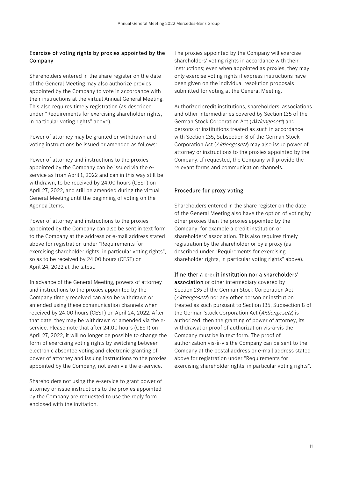### Exercise of voting rights by proxies appointed by the Company

Shareholders entered in the share register on the date of the General Meeting may also authorize proxies appointed by the Company to vote in accordance with their instructions at the virtual Annual General Meeting. This also requires timely registration (as described under "Requirements for exercising shareholder rights, in particular voting rights" above).

Power of attorney may be granted or withdrawn and voting instructions be issued or amended as follows:

Power of attorney and instructions to the proxies appointed by the Company can be issued via the eservice as from April 1, 2022 and can in this way still be withdrawn, to be received by 24:00 hours (CEST) on April 27, 2022, and still be amended during the virtual General Meeting until the beginning of voting on the Agenda Items.

Power of attorney and instructions to the proxies appointed by the Company can also be sent in text form to the Company at the address or e-mail address stated above for registration under "Requirements for exercising shareholder rights, in particular voting rights", so as to be received by 24:00 hours (CEST) on April 24, 2022 at the latest.

In advance of the General Meeting, powers of attorney and instructions to the proxies appointed by the Company timely received can also be withdrawn or amended using these communication channels when received by 24:00 hours (CEST) on April 24, 2022. After that date, they may be withdrawn or amended via the eservice. Please note that after 24:00 hours (CEST) on April 27, 2022, it will no longer be possible to change the form of exercising voting rights by switching between electronic absentee voting and electronic granting of power of attorney and issuing instructions to the proxies appointed by the Company, not even via the e-service.

Shareholders not using the e-service to grant power of attorney or issue instructions to the proxies appointed by the Company are requested to use the reply form enclosed with the invitation.

The proxies appointed by the Company will exercise shareholders' voting rights in accordance with their instructions; even when appointed as proxies, they may only exercise voting rights if express instructions have been given on the individual resolution proposals submitted for voting at the General Meeting.

Authorized credit institutions, shareholders' associations and other intermediaries covered by Section 135 of the German Stock Corporation Act (Aktiengesetz) and persons or institutions treated as such in accordance with Section 135, Subsection 8 of the German Stock Corporation Act (Aktiengesetz) may also issue power of attorney or instructions to the proxies appointed by the Company. If requested, the Company will provide the relevant forms and communication channels.

### Procedure for proxy voting

Shareholders entered in the share register on the date of the General Meeting also have the option of voting by other proxies than the proxies appointed by the Company, for example a credit institution or shareholders' association. This also requires timely registration by the shareholder or by a proxy (as described under "Requirements for exercising shareholder rights, in particular voting rights" above).

### If neither a credit institution nor a shareholders'

association or other intermediary covered by Section 135 of the German Stock Corporation Act (Aktiengesetz) nor any other person or institution treated as such pursuant to Section 135, Subsection 8 of the German Stock Corporation Act (Aktiengesetz) is authorized, then the granting of power of attorney, its withdrawal or proof of authorization vis-à-vis the Company must be in text form. The proof of authorization vis-à-vis the Company can be sent to the Company at the postal address or e-mail address stated above for registration under "Requirements for exercising shareholder rights, in particular voting rights".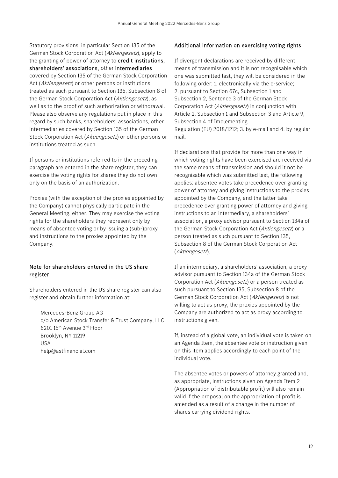Statutory provisions, in particular Section 135 of the German Stock Corporation Act (Aktiengesetz), apply to the granting of power of attorney to credit institutions, shareholders' associations, other intermediaries covered by Section 135 of the German Stock Corporation Act (Aktiengesetz) or other persons or institutions treated as such pursuant to Section 135, Subsection 8 of the German Stock Corporation Act (Aktiengesetz), as well as to the proof of such authorization or withdrawal. Please also observe any regulations put in place in this regard by such banks, shareholders' associations, other intermediaries covered by Section 135 of the German Stock Corporation Act (Aktiengesetz) or other persons or institutions treated as such.

If persons or institutions referred to in the preceding paragraph are entered in the share register, they can exercise the voting rights for shares they do not own only on the basis of an authorization.

Proxies (with the exception of the proxies appointed by the Company) cannot physically participate in the General Meeting, either. They may exercise the voting rights for the shareholders they represent only by means of absentee voting or by issuing a (sub-)proxy and instructions to the proxies appointed by the Company.

### Note for shareholders entered in the US share register

Shareholders entered in the US share register can also register and obtain further information at:

Mercedes-Benz Group AG c/o American Stock Transfer & Trust Company, LLC 6201 15th Avenue 3rd Floor Brooklyn, NY 11219 USA help@astfinancial.com

### Additional information on exercising voting rights

If divergent declarations are received by different means of transmission and it is not recognisable which one was submitted last, they will be considered in the following order: 1. electronically via the e-service; 2. pursuant to Section 67c, Subsection 1 and Subsection 2, Sentence 3 of the German Stock Corporation Act (*Aktiengesetz*) in conjunction with Article 2, Subsection 1 and Subsection 3 and Article 9, Subsection 4 of Implementing Regulation (EU) 2018/1212; 3. by e-mail and 4. by regular mail.

If declarations that provide for more than one way in which voting rights have been exercised are received via the same means of transmission and should it not be recognisable which was submitted last, the following applies: absentee votes take precedence over granting power of attorney and giving instructions to the proxies appointed by the Company, and the latter take precedence over granting power of attorney and giving instructions to an intermediary, a shareholders' association, a proxy advisor pursuant to Section 134a of the German Stock Corporation Act (Aktiengesetz) or a person treated as such pursuant to Section 135, Subsection 8 of the German Stock Corporation Act (Aktiengesetz).

If an intermediary, a shareholders' association, a proxy advisor pursuant to Section 134a of the German Stock Corporation Act (Aktiengesetz) or a person treated as such pursuant to Section 135, Subsection 8 of the German Stock Corporation Act (Aktiengesetz) is not willing to act as proxy, the proxies appointed by the Company are authorized to act as proxy according to instructions given.

If, instead of a global vote, an individual vote is taken on an Agenda Item, the absentee vote or instruction given on this item applies accordingly to each point of the individual vote.

The absentee votes or powers of attorney granted and, as appropriate, instructions given on Agenda Item 2 (Appropriation of distributable profit) will also remain valid if the proposal on the appropriation of profit is amended as a result of a change in the number of shares carrying dividend rights.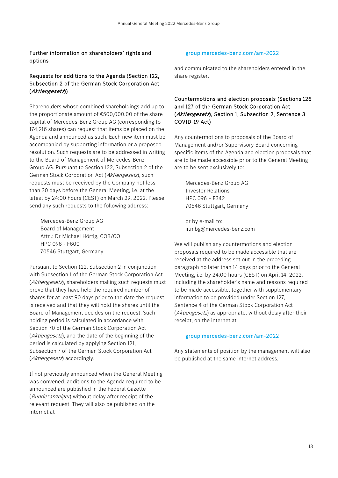### Further information on shareholders' rights and options

### Requests for additions to the Agenda (Section 122, Subsection 2 of the German Stock Corporation Act (Aktiengesetz))

Shareholders whose combined shareholdings add up to the proportionate amount of €500,000.00 of the share capital of Mercedes-Benz Group AG (corresponding to 174,216 shares) can request that items be placed on the Agenda and announced as such. Each new item must be accompanied by supporting information or a proposed resolution. Such requests are to be addressed in writing to the Board of Management of Mercedes-Benz Group AG. Pursuant to Section 122, Subsection 2 of the German Stock Corporation Act (Aktiengesetz), such requests must be received by the Company not less than 30 days before the General Meeting, i.e. at the latest by 24:00 hours (CEST) on March 29, 2022. Please send any such requests to the following address:

Mercedes-Benz Group AG Board of Management Attn.: Dr Michael Hörtig, COB/CO HPC 096 - F600 70546 Stuttgart, Germany

Pursuant to Section 122, Subsection 2 in conjunction with Subsection 1 of the German Stock Corporation Act (Aktiengesetz), shareholders making such requests must prove that they have held the required number of shares for at least 90 days prior to the date the request is received and that they will hold the shares until the Board of Management decides on the request. Such holding period is calculated in accordance with Section 70 of the German Stock Corporation Act (Aktiengesetz), and the date of the beginning of the period is calculated by applying Section 121, Subsection 7 of the German Stock Corporation Act (Aktiengesetz) accordingly.

If not previously announced when the General Meeting was convened, additions to the Agenda required to be announced are published in the Federal Gazette (Bundesanzeiger) without delay after receipt of the relevant request. They will also be published on the internet at

### group.mercedes-benz.com/am-2022

and communicated to the shareholders entered in the share register.

### Countermotions and election proposals (Sections 126 and 127 of the German Stock Corporation Act (Aktiengesetz), Section 1, Subsection 2, Sentence 3 COVID-19 Act)

Any countermotions to proposals of the Board of Management and/or Supervisory Board concerning specific items of the Agenda and election proposals that are to be made accessible prior to the General Meeting are to be sent exclusively to:

Mercedes-Benz Group AG Investor Relations HPC 096 – F342 70546 Stuttgart, Germany

or by e-mail to: ir.mbg@mercedes-benz.com

We will publish any countermotions and election proposals required to be made accessible that are received at the address set out in the preceding paragraph no later than 14 days prior to the General Meeting, i.e. by 24:00 hours (CEST) on April 14, 2022, including the shareholder's name and reasons required to be made accessible, together with supplementary information to be provided under Section 127, Sentence 4 of the German Stock Corporation Act (Aktiengesetz) as appropriate, without delay after their receipt, on the internet at

### group.mercedes-benz.com/am-2022

Any statements of position by the management will also be published at the same internet address.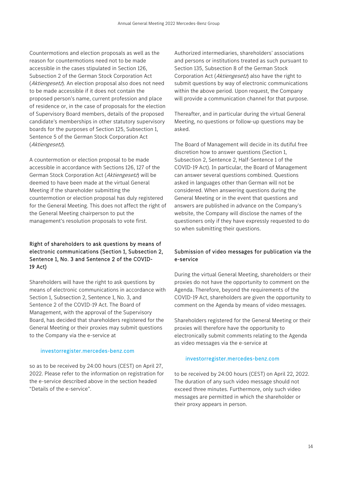Countermotions and election proposals as well as the reason for countermotions need not to be made accessible in the cases stipulated in Section 126, Subsection 2 of the German Stock Corporation Act (Aktiengesetz). An election proposal also does not need to be made accessible if it does not contain the proposed person's name, current profession and place of residence or, in the case of proposals for the election of Supervisory Board members, details of the proposed candidate's memberships in other statutory supervisory boards for the purposes of Section 125, Subsection 1, Sentence 5 of the German Stock Corporation Act (Aktiengesetz).

A countermotion or election proposal to be made accessible in accordance with Sections 126, 127 of the German Stock Corporation Act (Aktiengesetz) will be deemed to have been made at the virtual General Meeting if the shareholder submitting the countermotion or election proposal has duly registered for the General Meeting. This does not affect the right of the General Meeting chairperson to put the management's resolution proposals to vote first.

### Right of shareholders to ask questions by means of electronic communications (Section 1, Subsection 2, Sentence 1, No. 3 and Sentence 2 of the COVID-19 Act)

Shareholders will have the right to ask questions by means of electronic communications in accordance with Section 1, Subsection 2, Sentence 1, No. 3, and Sentence 2 of the COVID-19 Act. The Board of Management, with the approval of the Supervisory Board, has decided that shareholders registered for the General Meeting or their proxies may submit questions to the Company via the e-service at

### investorregister.mercedes-benz.com

so as to be received by 24:00 hours (CEST) on April 27, 2022. Please refer to the information on registration for the e-service described above in the section headed "Details of the e-service".

Authorized intermediaries, shareholders' associations and persons or institutions treated as such pursuant to Section 135, Subsection 8 of the German Stock Corporation Act (Aktiengesetz) also have the right to submit questions by way of electronic communications within the above period. Upon request, the Company will provide a communication channel for that purpose.

Thereafter, and in particular during the virtual General Meeting, no questions or follow-up questions may be asked.

The Board of Management will decide in its dutiful free discretion how to answer questions (Section 1, Subsection 2, Sentence 2, Half-Sentence 1 of the COVID-19 Act). In particular, the Board of Management can answer several questions combined. Questions asked in languages other than German will not be considered. When answering questions during the General Meeting or in the event that questions and answers are published in advance on the Company's website, the Company will disclose the names of the questioners only if they have expressly requested to do so when submitting their questions.

### Submission of video messages for publication via the e-service

During the virtual General Meeting, shareholders or their proxies do not have the opportunity to comment on the Agenda. Therefore, beyond the requirements of the COVID-19 Act, shareholders are given the opportunity to comment on the Agenda by means of video messages.

Shareholders registered for the General Meeting or their proxies will therefore have the opportunity to electronically submit comments relating to the Agenda as video messages via the e-service at

### investorregister.mercedes-benz.com

to be received by 24:00 hours (CEST) on April 22, 2022. The duration of any such video message should not exceed three minutes. Furthermore, only such video messages are permitted in which the shareholder or their proxy appears in person.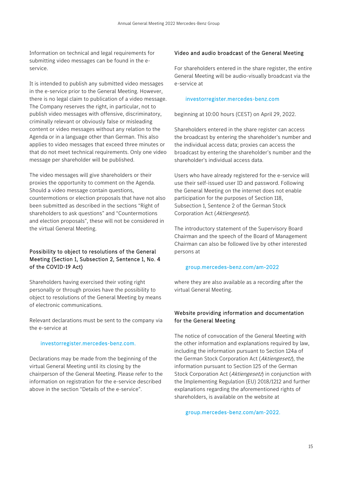Information on technical and legal requirements for submitting video messages can be found in the eservice.

It is intended to publish any submitted video messages in the e-service prior to the General Meeting. However, there is no legal claim to publication of a video message. The Company reserves the right, in particular, not to publish video messages with offensive, discriminatory, criminally relevant or obviously false or misleading content or video messages without any relation to the Agenda or in a language other than German. This also applies to video messages that exceed three minutes or that do not meet technical requirements. Only one video message per shareholder will be published.

The video messages will give shareholders or their proxies the opportunity to comment on the Agenda. Should a video message contain questions, countermotions or election proposals that have not also been submitted as described in the sections "Right of shareholders to ask questions" and "Countermotions and election proposals", these will not be considered in the virtual General Meeting.

### Possibility to object to resolutions of the General Meeting (Section 1, Subsection 2, Sentence 1, No. 4 of the COVID-19 Act)

Shareholders having exercised their voting right personally or through proxies have the possibility to object to resolutions of the General Meeting by means of electronic communications.

Relevant declarations must be sent to the company via the e-service at

### investorregister.mercedes-benz.com.

Declarations may be made from the beginning of the virtual General Meeting until its closing by the chairperson of the General Meeting. Please refer to the information on registration for the e-service described above in the section "Details of the e-service".

### Video and audio broadcast of the General Meeting

For shareholders entered in the share register, the entire General Meeting will be audio-visually broadcast via the e-service at

### investorregister.mercedes-benz.com

beginning at 10:00 hours (CEST) on April 29, 2022.

Shareholders entered in the share register can access the broadcast by entering the shareholder's number and the individual access data; proxies can access the broadcast by entering the shareholder's number and the shareholder's individual access data.

Users who have already registered for the e-service will use their self-issued user ID and password. Following the General Meeting on the internet does not enable participation for the purposes of Section 118, Subsection 1, Sentence 2 of the German Stock Corporation Act (Aktiengesetz).

The introductory statement of the Supervisory Board Chairman and the speech of the Board of Management Chairman can also be followed live by other interested persons at

### group.mercedes-benz.com/am-2022

where they are also available as a recording after the virtual General Meeting.

### Website providing information and documentation for the General Meeting

The notice of convocation of the General Meeting with the other information and explanations required by law, including the information pursuant to Section 124a of the German Stock Corporation Act (Aktiengesetz), the information pursuant to Section 125 of the German Stock Corporation Act (Aktiengesetz) in conjunction with the Implementing Regulation (EU) 2018/1212 and further explanations regarding the aforementioned rights of shareholders, is available on the website at

group.mercedes-benz.com/am-2022.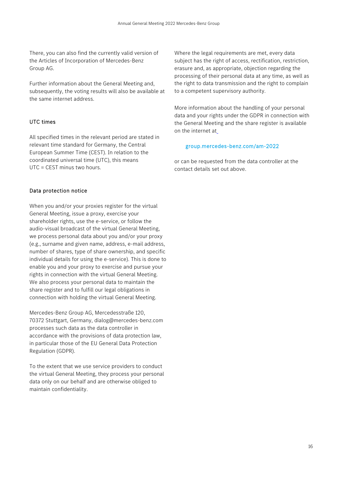There, you can also find the currently valid version of the Articles of Incorporation of Mercedes-Benz Group AG.

Further information about the General Meeting and, subsequently, the voting results will also be available at the same internet address.

### UTC times

All specified times in the relevant period are stated in relevant time standard for Germany, the Central European Summer Time (CEST). In relation to the coordinated universal time (UTC), this means UTC = CEST minus two hours.

### Data protection notice

When you and/or your proxies register for the virtual General Meeting, issue a proxy, exercise your shareholder rights, use the e-service, or follow the audio-visual broadcast of the virtual General Meeting, we process personal data about you and/or your proxy (e.g., surname and given name, address, e-mail address, number of shares, type of share ownership, and specific individual details for using the e-service). This is done to enable you and your proxy to exercise and pursue your rights in connection with the virtual General Meeting. We also process your personal data to maintain the share register and to fulfill our legal obligations in connection with holding the virtual General Meeting.

Mercedes-Benz Group AG, Mercedesstraße 120, 70372 Stuttgart, Germany, dialog@mercedes-benz.com processes such data as the data controller in accordance with the provisions of data protection law, in particular those of the EU General Data Protection Regulation (GDPR).

To the extent that we use service providers to conduct the virtual General Meeting, they process your personal data only on our behalf and are otherwise obliged to maintain confidentiality.

Where the legal requirements are met, every data subject has the right of access, rectification, restriction, erasure and, as appropriate, objection regarding the processing of their personal data at any time, as well as the right to data transmission and the right to complain to a competent supervisory authority.

More information about the handling of your personal data and your rights under the GDPR in connection with the General Meeting and the share register is available on the internet at

### group.mercedes-benz.com/am-2022

or can be requested from the data controller at the contact details set out above.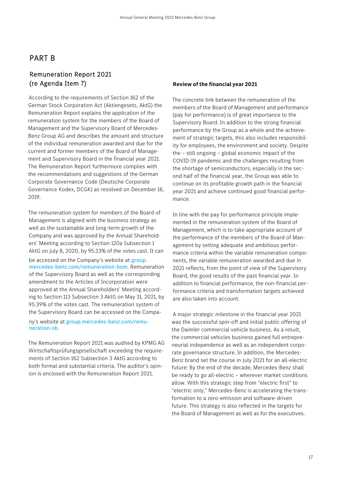# PART B

# Remuneration Report 2021 (re Agenda Item 7)

According to the requirements of Section 162 of the German Stock Corporation Act (Aktiengesetz, AktG) the Remuneration Report explains the application of the remuneration system for the members of the Board of Management and the Supervisory Board of Mercedes-Benz Group AG and describes the amount and structure of the individual remuneration awarded and due for the current and former members of the Board of Management and Supervisory Board in the financial year 2021. The Remuneration Report furthermore complies with the recommendations and suggestions of the German Corporate Governance Code (Deutsche Corporate Governance Kodex, DCGK) as resolved on December 16, 2019.

The remuneration system for members of the Board of Management is aligned with the business strategy as well as the sustainable and long-term growth of the Company and was approved by the Annual Shareholders' Meeting according to Section 120a Subsection 1 AktG on July 8, 2020, by 95.33% of the votes cast. It can

be accessed on the Company's website at group. mercedes-benz.com/remuneration-bom. Remuneration of the Supervisory Board as well as the corresponding amendment to the Articles of Incorporation were approved at the Annual Shareholders' Meeting according to Section 113 Subsection 3 AktG on May 31, 2021, by 95.39% of the votes cast. The remuneration system of the Supervisory Board can be accessed on the Compa-

ny's website at group.mercedes-benz.com/remuneration-sb.

The Remuneration Report 2021 was audited by KPMG AG Wirtschaftsprüfungsgesellschaft exceeding the requirements of Section 162 Subsection 3 AktG according to both formal and substantial criteria. The auditor's opinion is enclosed with the Remuneration Report 2021.

### **Review of the financial year 2021**

The concrete link between the remuneration of the members of the Board of Management and performance (pay for performance) is of great importance to the Supervisory Board. In addition to the strong financial performance by the Group as a whole and the achievement of strategic targets, this also includes responsibility for employees, the environment and society. Despite the – still ongoing – global economic impact of the COVID-19 pandemic and the challenges resulting from the shortage of semiconductors, especially in the second half of the financial year, the Group was able to continue on its profitable growth path in the financial year 2021 and achieve continued good financial performance.

In line with the pay for performance principle implemented in the remuneration system of the Board of Management, which is to take appropriate account of the performance of the members of the Board of Management by setting adequate and ambitious performance criteria within the variable remuneration components, the variable remuneration awarded and due in 2021 reflects, from the point of view of the Supervisory Board, the good results of the past financial year. In addition to financial performance, the non-financial performance criteria and transformation targets achieved are also taken into account.

A major strategic milestone in the financial year 2021 was the successful spin-off and initial public offering of the Daimler commercial vehicle business. As a result, the commercial vehicles business gained full entrepreneurial independence as well as an independent corporate governance structure. In addition, the Mercedes-Benz brand set the course in July 2021 for an all-electric future: By the end of the decade, Mercedes-Benz shall be ready to go all-electric – wherever market conditions allow. With this strategic step from "electric first" to "electric only," Mercedes-Benz is accelerating the transformation to a zero-emission and software-driven future. This strategy is also reflected in the targets for the Board of Management as well as for the executives.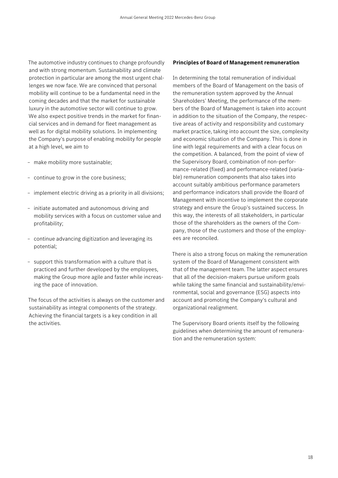The automotive industry continues to change profoundly and with strong momentum. Sustainability and climate protection in particular are among the most urgent challenges we now face. We are convinced that personal mobility will continue to be a fundamental need in the coming decades and that the market for sustainable luxury in the automotive sector will continue to grow. We also expect positive trends in the market for financial services and in demand for fleet management as well as for digital mobility solutions. In implementing the Company's purpose of enabling mobility for people at a high level, we aim to

- make mobility more sustainable;
- continue to grow in the core business;
- implement electric driving as a priority in all divisions;
- initiate automated and autonomous driving and mobility services with a focus on customer value and profitability;
- continue advancing digitization and leveraging its potential;
- support this transformation with a culture that is practiced and further developed by the employees, making the Group more agile and faster while increasing the pace of innovation.

The focus of the activities is always on the customer and sustainability as integral components of the strategy. Achieving the financial targets is a key condition in all the activities.

### **Principles of Board of Management remuneration**

In determining the total remuneration of individual members of the Board of Management on the basis of the remuneration system approved by the Annual Shareholders' Meeting, the performance of the members of the Board of Management is taken into account in addition to the situation of the Company, the respective areas of activity and responsibility and customary market practice, taking into account the size, complexity and economic situation of the Company. This is done in line with legal requirements and with a clear focus on the competition. A balanced, from the point of view of the Supervisory Board, combination of non-performance-related (fixed) and performance-related (variable) remuneration components that also takes into account suitably ambitious performance parameters and performance indicators shall provide the Board of Management with incentive to implement the corporate strategy and ensure the Group's sustained success. In this way, the interests of all stakeholders, in particular those of the shareholders as the owners of the Company, those of the customers and those of the employees are reconciled.

There is also a strong focus on making the remuneration system of the Board of Management consistent with that of the management team. The latter aspect ensures that all of the decision-makers pursue uniform goals while taking the same financial and sustainability/environmental, social and governance (ESG) aspects into account and promoting the Company's cultural and organizational realignment.

The Supervisory Board orients itself by the following guidelines when determining the amount of remuneration and the remuneration system: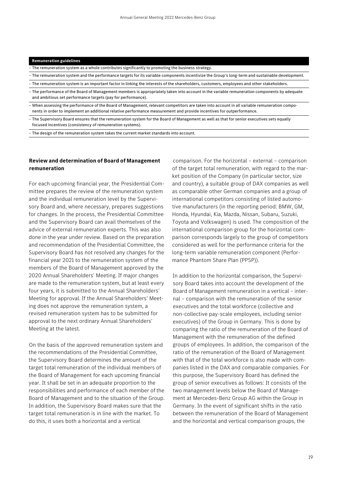| <b>Remuneration guidelines</b> |  |  |
|--------------------------------|--|--|
|                                |  |  |

- The remuneration system as a whole contributes significantly to promoting the business strategy.
- The remuneration system and the performance targets for its variable components incentivize the Group's long-term and sustainable development.
- The remuneration system is an important factor in linking the interests of the shareholders, customers, employees and other stakeholders.
- The performance of the Board of Management members is appropriately taken into account in the variable remuneration components by adequate and ambitious set performance targets (pay for performance).
- When assessing the performance of the Board of Management, relevant competitors are taken into account in all variable remuneration components in order to implement an additional relative performance measurement and provide incentives for outperformance.
- The Supervisory Board ensures that the remuneration system for the Board of Management as well as that for senior executives sets equally focused incentives (consistency of remuneration systems).

– The design of the remuneration system takes the current market standards into account.

### **Review and determination of Board of Management remuneration**

For each upcoming financial year, the Presidential Committee prepares the review of the remuneration system and the individual remuneration level by the Supervisory Board and, where necessary, prepares suggestions for changes. In the process, the Presidential Committee and the Supervisory Board can avail themselves of the advice of external remuneration experts. This was also done in the year under review. Based on the preparation and recommendation of the Presidential Committee, the Supervisory Board has not resolved any changes for the financial year 2021 to the remuneration system of the members of the Board of Management approved by the 2020 Annual Shareholders' Meeting. If major changes are made to the remuneration system, but at least every four years, it is submitted to the Annual Shareholders' Meeting for approval. If the Annual Shareholders' Meeting does not approve the remuneration system, a revised remuneration system has to be submitted for approval to the next ordinary Annual Shareholders' Meeting at the latest.

On the basis of the approved remuneration system and the recommendations of the Presidential Committee, the Supervisory Board determines the amount of the target total remuneration of the individual members of the Board of Management for each upcoming financial year. It shall be set in an adequate proportion to the responsibilities and performance of each member of the Board of Management and to the situation of the Group. In addition, the Supervisory Board makes sure that the target total remuneration is in line with the market. To do this, it uses both a horizontal and a vertical

comparison. For the horizontal – external – comparison of the target total remuneration, with regard to the market position of the Company (in particular sector, size and country), a suitable group of DAX companies as well as comparable other German companies and a group of international competitors consisting of listed automotive manufacturers (in the reporting period: BMW, GM, Honda, Hyundai, Kia, Mazda, Nissan, Subaru, Suzuki, Toyota and Volkswagen) is used. The composition of the international comparison group for the horizontal comparison corresponds largely to the group of competitors considered as well for the performance criteria for the long-term variable remuneration component (Performance Phantom Share Plan (PPSP)).

In addition to the horizontal comparison, the Supervisory Board takes into account the development of the Board of Management remuneration in a vertical – internal – comparison with the remuneration of the senior executives and the total workforce (collective and non-collective pay-scale employees, including senior executives) of the Group in Germany. This is done by comparing the ratio of the remuneration of the Board of Management with the remuneration of the defined groups of employees. In addition, the comparison of the ratio of the remuneration of the Board of Management with that of the total workforce is also made with companies listed in the DAX and comparable companies. For this purpose, the Supervisory Board has defined the group of senior executives as follows: It consists of the two management levels below the Board of Management at Mercedes-Benz Group AG within the Group in Germany. In the event of significant shifts in the ratio between the remuneration of the Board of Management and the horizontal and vertical comparison groups, the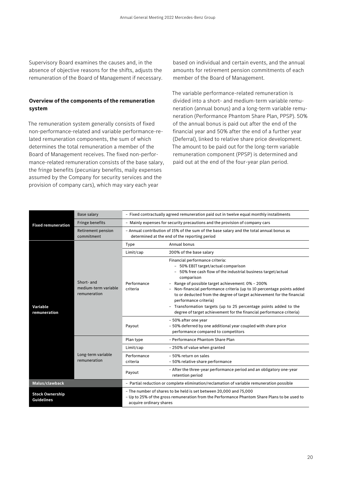Supervisory Board examines the causes and, in the absence of objective reasons for the shifts, adjusts the remuneration of the Board of Management if necessary.

### **Overview of the components of the remuneration system**

The remuneration system generally consists of fixed non-performance-related and variable performance-related remuneration components, the sum of which determines the total remuneration a member of the Board of Management receives. The fixed non-performance-related remuneration consists of the base salary, the fringe benefits (pecuniary benefits, maily expenses assumed by the Company for security services and the provision of company cars), which may vary each year

based on individual and certain events, and the annual amounts for retirement pension commitments of each member of the Board of Management.

The variable performance-related remuneration is divided into a short- and medium-term variable remuneration (annual bonus) and a long-term variable remuneration (Performance Phantom Share Plan, PPSP). 50% of the annual bonus is paid out after the end of the financial year and 50% after the end of a further year (Deferral), linked to relative share price development. The amount to be paid out for the long-term variable remuneration component (PPSP) is determined and paid out at the end of the four-year plan period.

|                                             | <b>Base salary</b>                                 |                                                                                                                                                                                               | - Fixed contractually agreed remuneration paid out in twelve equal monthly installments                                                                                                                                                                                                                                                                                                                                                                                                                                                                                                   |  |  |
|---------------------------------------------|----------------------------------------------------|-----------------------------------------------------------------------------------------------------------------------------------------------------------------------------------------------|-------------------------------------------------------------------------------------------------------------------------------------------------------------------------------------------------------------------------------------------------------------------------------------------------------------------------------------------------------------------------------------------------------------------------------------------------------------------------------------------------------------------------------------------------------------------------------------------|--|--|
| <b>Fixed remuneration</b>                   | <b>Fringe benefits</b>                             |                                                                                                                                                                                               | - Mainly expenses for security precautions and the provision of company cars                                                                                                                                                                                                                                                                                                                                                                                                                                                                                                              |  |  |
|                                             | <b>Retirement pension</b><br>commitment            | - Annual contribution of 15% of the sum of the base salary and the total annual bonus as<br>determined at the end of the reporting period                                                     |                                                                                                                                                                                                                                                                                                                                                                                                                                                                                                                                                                                           |  |  |
|                                             |                                                    | Type                                                                                                                                                                                          | Annual bonus                                                                                                                                                                                                                                                                                                                                                                                                                                                                                                                                                                              |  |  |
|                                             |                                                    | Limit/cap                                                                                                                                                                                     | 200% of the base salary                                                                                                                                                                                                                                                                                                                                                                                                                                                                                                                                                                   |  |  |
| Variable<br>remuneration                    | Short- and<br>medium-term variable<br>remuneration | Performance<br>criteria                                                                                                                                                                       | Financial performance criteria:<br>- 50% EBIT target/actual comparison<br>50% free cash flow of the industrial business target/actual<br>comparison<br>Range of possible target achievement: 0% - 200%<br>-<br>Non-financial performance criteria (up to 10 percentage points added<br>$\overline{\phantom{a}}$<br>to or deducted from the degree of target achievement for the financial<br>performance criteria)<br>Transformation targets (up to 25 percentage points added to the<br>$\overline{\phantom{0}}$<br>degree of target achievement for the financial performance criteria) |  |  |
|                                             |                                                    | Payout                                                                                                                                                                                        | - 50% after one year<br>- 50% deferred by one additional year coupled with share price<br>performance compared to competitors                                                                                                                                                                                                                                                                                                                                                                                                                                                             |  |  |
|                                             |                                                    | Plan type                                                                                                                                                                                     | - Performance Phantom Share Plan                                                                                                                                                                                                                                                                                                                                                                                                                                                                                                                                                          |  |  |
|                                             |                                                    | Limit/cap                                                                                                                                                                                     | - 250% of value when granted                                                                                                                                                                                                                                                                                                                                                                                                                                                                                                                                                              |  |  |
|                                             | Long-term variable<br>remuneration                 | Performance<br>criteria                                                                                                                                                                       | - 50% return on sales<br>- 50% relative share performance                                                                                                                                                                                                                                                                                                                                                                                                                                                                                                                                 |  |  |
|                                             |                                                    | Payout                                                                                                                                                                                        | - After the three-year performance period and an obligatory one-year<br>retention period                                                                                                                                                                                                                                                                                                                                                                                                                                                                                                  |  |  |
| Malus/clawback                              |                                                    |                                                                                                                                                                                               | - Partial reduction or complete elimination/reclamation of variable remuneration possible                                                                                                                                                                                                                                                                                                                                                                                                                                                                                                 |  |  |
| <b>Stock Ownership</b><br><b>Guidelines</b> |                                                    | - The number of shares to be held is set between 20,000 and 75,000<br>- Up to 25% of the gross remuneration from the Performance Phantom Share Plans to be used to<br>acquire ordinary shares |                                                                                                                                                                                                                                                                                                                                                                                                                                                                                                                                                                                           |  |  |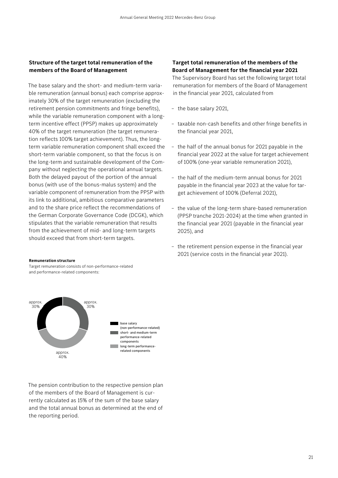### **Structure of the target total remuneration of the members of the Board of Management**

The base salary and the short- and medium-term variable remuneration (annual bonus) each comprise approximately 30% of the target remuneration (excluding the retirement pension commitments and fringe benefits), while the variable remuneration component with a longterm incentive effect (PPSP) makes up approximately 40% of the target remuneration (the target remuneration reflects 100% target achievement). Thus, the longterm variable remuneration component shall exceed the short-term variable component, so that the focus is on the long-term and sustainable development of the Company without neglecting the operational annual targets. Both the delayed payout of the portion of the annual bonus (with use of the bonus-malus system) and the variable component of remuneration from the PPSP with its link to additional, ambitious comparative parameters and to the share price reflect the recommendations of the German Corporate Governance Code (DCGK), which stipulates that the variable remuneration that results from the achievement of mid- and long-term targets should exceed that from short-term targets.

### **Target total remuneration of the members of the Board of Management for the financial year 2021**

The Supervisory Board has set the following target total remuneration for members of the Board of Management in the financial year 2021, calculated from

- the base salary 2021,
- taxable non-cash benefits and other fringe benefits in the financial year 2021,
- the half of the annual bonus for 2021 payable in the financial year 2022 at the value for target achievement of 100% (one-year variable remuneration 2021),
- the half of the medium-term annual bonus for 2021 payable in the financial year 2023 at the value for target achievement of 100% (Deferral 2021),
- the value of the long-term share-based remuneration (PPSP tranche 2021-2024) at the time when granted in the financial year 2021 (payable in the financial year 2025), and
- the retirement pension expense in the financial year 2021 (service costs in the financial year 2021).

### **Remuneration structure**

Target remuneration consists of non-performance-related and performance-related components:



The pension contribution to the respective pension plan of the members of the Board of Management is currently calculated as 15% of the sum of the base salary and the total annual bonus as determined at the end of the reporting period.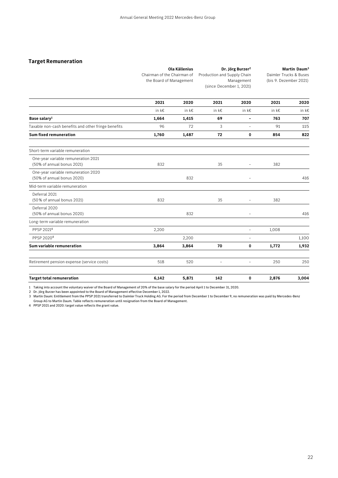### **Target Remuneration**

|                                                                   | <b>Ola Källenius</b><br>Chairman of the Chairman of<br>the Board of Management |       | Dr. Jörg Burzer <sup>2</sup><br>Production and Supply Chain<br>Management<br>(since December 1, 2021) |                          | Martin Daum <sup>3</sup><br>Daimler Trucks & Buses<br>(bis 9. Dezember 2021) |       |
|-------------------------------------------------------------------|--------------------------------------------------------------------------------|-------|-------------------------------------------------------------------------------------------------------|--------------------------|------------------------------------------------------------------------------|-------|
|                                                                   | 2021                                                                           | 2020  | 2021                                                                                                  | 2020                     | 2021                                                                         | 2020  |
|                                                                   | in k€                                                                          | in k€ | in k€                                                                                                 | in k€                    | in k€                                                                        | in k€ |
| Base salary <sup>1</sup>                                          | 1,664                                                                          | 1,415 | 69                                                                                                    | $\blacksquare$           | 763                                                                          | 707   |
| Taxable non-cash benefits and other fringe benefits               | 96                                                                             | 72    | 3                                                                                                     | $\overline{\phantom{a}}$ | 91                                                                           | 115   |
| <b>Sum fixed remuneration</b>                                     | 1,760                                                                          | 1,487 | 72                                                                                                    | 0                        | 854                                                                          | 822   |
| Short-term variable remuneration                                  |                                                                                |       |                                                                                                       |                          |                                                                              |       |
| One-year variable remuneration 2021<br>(50% of annual bonus 2021) | 832                                                                            |       | 35                                                                                                    |                          | 382                                                                          |       |
| One-year variable remuneration 2020<br>(50% of annual bonus 2020) |                                                                                | 832   |                                                                                                       | $\overline{a}$           |                                                                              | 416   |
| Mid-term variable remuneration                                    |                                                                                |       |                                                                                                       |                          |                                                                              |       |
| Deferral 2021<br>(50% of annual bonus 2021)                       | 832                                                                            |       | 35                                                                                                    |                          | 382                                                                          |       |
| Deferral 2020<br>(50% of annual bonus 2020)                       |                                                                                | 832   |                                                                                                       | $\overline{a}$           |                                                                              | 416   |
| Long-term variable remuneration                                   |                                                                                |       |                                                                                                       |                          |                                                                              |       |
| PPSP 20214                                                        | 2,200                                                                          |       |                                                                                                       | $\overline{\phantom{0}}$ | 1,008                                                                        |       |
| PPSP 2020 <sup>4</sup>                                            |                                                                                | 2,200 |                                                                                                       |                          |                                                                              | 1,100 |
| Sum variable remuneration                                         | 3,864                                                                          | 3,864 | 70                                                                                                    | 0                        | 1,772                                                                        | 1,932 |
| Retirement pension expense (service costs)                        | 518                                                                            | 520   | $\overline{a}$                                                                                        |                          | 250                                                                          | 250   |
| <b>Target total remuneration</b>                                  | 6,142                                                                          | 5,871 | 142                                                                                                   | $\mathbf 0$              | 2,876                                                                        | 3,004 |

1 Taking into account the voluntary waiver of the Board of Management of 20% of the base salary for the period April 1 to December 31, 2020.

2 Dr. Jörg Burzer has been appointed to the Board of Management effective December 1, 2022.

3 Martin Daum: Entitlement from the PPSP 2021 transferred to Daimler Truck Holding AG. For the period from December 1 to December 9, no remuneration was paid by Mercedes-Benz Group AG to Martin Daum. Table reflects remuneration until resignation from the Board of Management.

4 PPSP 2021 and 2020: target value reflects the grant value.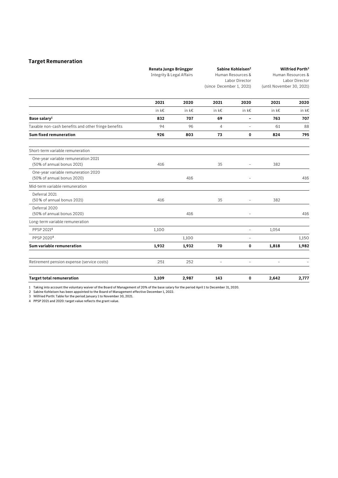### **Target Remuneration**

Integrity & Legal Affairs Human Resources & Labor Director (since December 1, 2021) Human Resources & Labor Director (until November 30, 2021) **2021 2020 2021 2020 2021 2020**  in k€ in k€ in k€ in k€ in k€ in k€ **Base salary1 832 707 69 - 763 707**  Taxable non-cash benefits and other fringe benefits 88 and 194 96 4 - 61 88 **Sum fixed remuneration 926 803 73 0 824 795**  Short-term variable remuneration One-year variable remuneration 2021 (50% of annual bonus 2021) 416 35 - <sup>382</sup> One-year variable remuneration 2020 (50% of annual bonus 2020) 416  $\overline{a}$  416  $\overline{a}$  416  $\overline{a}$  416 Mid-term variable remuneration Deferral 2021 (50 % of annual bonus 2021) 416 35 - <sup>382</sup> Deferral 2020 (50% of annual bonus 2020) 416 - 416 Long-term variable remuneration PPSP 2021<sup>4</sup> 1,100 - 1,054 PPSP 2020<sup>4</sup> 1,100 - 1,150 **Sum variable remuneration 1,932 1,932 70 0 1,818 1,982**  Retirement pension expense (service costs)  $251$   $252$  -  $-$  -  $-$  -  $-$  -  $-$  -  $-$ **Target total remuneration 3,109 2,987 143 0 2,642 2,777**

1 Taking into account the voluntary waiver of the Board of Management of 20% of the base salary for the period April 1 to December 31, 2020.

2 Sabine Kohleisen has been appointed to the Board of Management effective December 1, 2022.

3 Wilfried Porth: Table for the period January 1 to November 30, 2021.

4 PPSP 2021 and 2020: target value reflects the grant value.

**Renata Jungo Brüngger** 

**Sabine Kohleisen2** 

**Wilfried Porth3**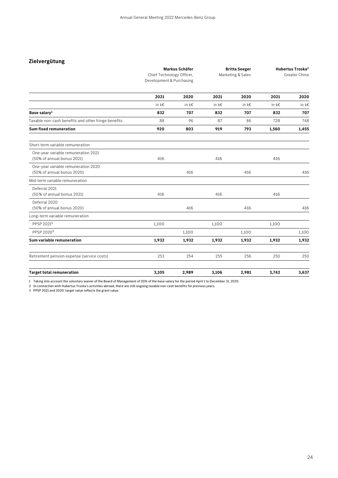### **Zielvergütung**

|                                                                   | Markus Schäfer<br>Chief Technology Officer,<br>Development & Purchasing |       | <b>Britta Seeger</b><br>Marketing & Sales |            | Hubertus Troska <sup>2</sup><br>Greater China |       |
|-------------------------------------------------------------------|-------------------------------------------------------------------------|-------|-------------------------------------------|------------|-----------------------------------------------|-------|
|                                                                   | 2021                                                                    | 2020  | 2021                                      | 2020       | 2021                                          | 2020  |
|                                                                   | in $k \in$                                                              | in k€ | in k€                                     | in $k \in$ | in k€                                         | in k€ |
| Base salary <sup>1</sup>                                          | 832                                                                     | 707   | 832                                       | 707        | 832                                           | 707   |
| Taxable non-cash benefits and other fringe benefits               | 88                                                                      | 96    | 87                                        | 86         | 728                                           | 748   |
| <b>Sum fixed remuneration</b>                                     | 920                                                                     | 803   | 919                                       | 793        | 1,560                                         | 1,455 |
| Short-term variable remuneration                                  |                                                                         |       |                                           |            |                                               |       |
| One-year variable remuneration 2021<br>(50% of annual bonus 2021) | 416                                                                     |       | 416                                       |            | 416                                           |       |
| One-year variable remuneration 2020<br>(50% of annual bonus 2020) |                                                                         | 416   |                                           | 416        |                                               | 416   |
| Mid-term variable remuneration                                    |                                                                         |       |                                           |            |                                               |       |
| Deferral 2021<br>(50% of annual bonus 2021)                       | 416                                                                     |       | 416                                       |            | 416                                           |       |
| Deferral 2020<br>(50% of annual bonus 2020)                       |                                                                         | 416   |                                           | 416        |                                               | 416   |
| Long-term variable remuneration                                   |                                                                         |       |                                           |            |                                               |       |
| PPSP 20213                                                        | 1,100                                                                   |       | 1,100                                     |            | 1,100                                         |       |
| PPSP 20203                                                        |                                                                         | 1,100 |                                           | 1,100      |                                               | 1,100 |
| Sum variable remuneration                                         | 1,932                                                                   | 1,932 | 1,932                                     | 1,932      | 1,932                                         | 1,932 |
| Retirement pension expense (service costs)                        | 253                                                                     | 254   | 255                                       | 256        | 250                                           | 250   |
| <b>Target total remuneration</b>                                  | 3.105                                                                   | 2,989 | 3.106                                     | 2,981      | 3.742                                         | 3,637 |

1 Taking into account the voluntary waiver of the Board of Management of 20% of the base salary for the period April 1 to December 31, 2020.

2 In connection with Hubertus Troska's activities abroad, there are still ongoing taxable non-cash benefits for previous years.

3 PPSP 2021 and 2020: target value reflects the grant value.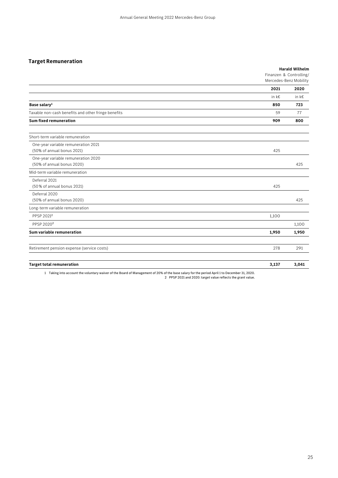### **Target Remuneration**

|                                                                   |       | <b>Harald Wilhelm</b><br>Finanzen & Controlling/<br>Mercedes-Benz Mobility |
|-------------------------------------------------------------------|-------|----------------------------------------------------------------------------|
|                                                                   | 2021  | 2020                                                                       |
|                                                                   | in k€ | in k€                                                                      |
| Base salary <sup>1</sup>                                          | 850   | 723                                                                        |
| Taxable non-cash benefits and other fringe benefits               | 59    | 77                                                                         |
| <b>Sum fixed remuneration</b>                                     | 909   | 800                                                                        |
| Short-term variable remuneration                                  |       |                                                                            |
| One-year variable remuneration 2021<br>(50% of annual bonus 2021) | 425   |                                                                            |
| One-year variable remuneration 2020<br>(50% of annual bonus 2020) |       | 425                                                                        |
| Mid-term variable remuneration                                    |       |                                                                            |
| Deferral 2021<br>(50% of annual bonus 2021)                       | 425   |                                                                            |
| Deferral 2020<br>(50% of annual bonus 2020)                       |       | 425                                                                        |
| Long-term variable remuneration                                   |       |                                                                            |
| PPSP 2021 <sup>2</sup>                                            | 1,100 |                                                                            |
| PPSP 2020 <sup>2</sup>                                            |       | 1,100                                                                      |
| Sum variable remuneration                                         | 1,950 | 1,950                                                                      |
| Retirement pension expense (service costs)                        | 278   | 291                                                                        |
| <b>Target total remuneration</b>                                  | 3,137 | 3,041                                                                      |

1 Taking into account the voluntary waiver of the Board of Management of 20% of the base salary for the period April 1 to December 31, 2020. 2 PPSP 2021 and 2020: target value reflects the grant value.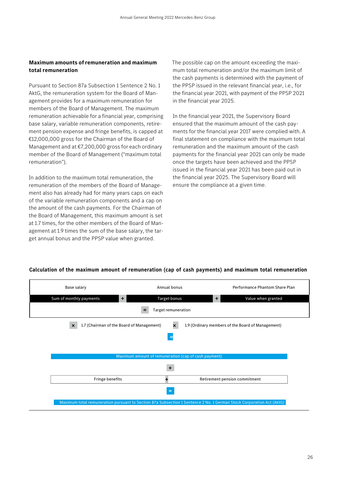### **Maximum amounts of remuneration and maximum total remuneration**

Pursuant to Section 87a Subsection 1 Sentence 2 No. 1 AktG, the remuneration system for the Board of Management provides for a maximum remuneration for members of the Board of Management. The maximum remuneration achievable for a financial year, comprising base salary, variable remuneration components, retirement pension expense and fringe benefits, is capped at €12,000,000 gross for the Chairman of the Board of Management and at €7,200,000 gross for each ordinary member of the Board of Management ("maximum total remuneration").

In addition to the maximum total remuneration, the remuneration of the members of the Board of Management also has already had for many years caps on each of the variable remuneration components and a cap on the amount of the cash payments. For the Chairman of the Board of Management, this maximum amount is set at 1.7 times, for the other members of the Board of Management at 1.9 times the sum of the base salary, the target annual bonus and the PPSP value when granted.

The possible cap on the amount exceeding the maximum total remuneration and/or the maximum limit of the cash payments is determined with the payment of the PPSP issued in the relevant financial year, i.e., for the financial year 2021, with payment of the PPSP 2021 in the financial year 2025.

In the financial year 2021, the Supervisory Board ensured that the maximum amount of the cash payments for the financial year 2017 were complied with. A final statement on compliance with the maximum total remuneration and the maximum amount of the cash payments for the financial year 2021 can only be made once the targets have been achieved and the PPSP issued in the financial year 2021 has been paid out in the financial year 2025. The Supervisory Board will ensure the compliance at a given time.

### **Calculation of the maximum amount of remuneration (cap of cash payments) and maximum total remuneration**

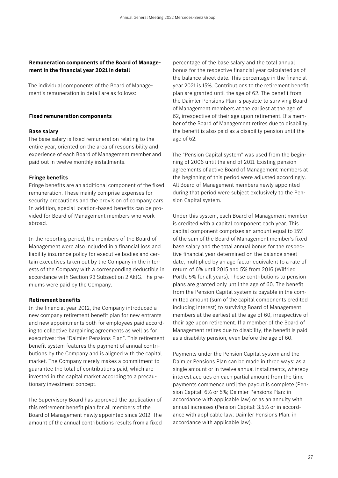### **Remuneration components of the Board of Management in the financial year 2021 in detail**

The individual components of the Board of Management's remuneration in detail are as follows:

### **Fixed remuneration components**

### **Base salary**

The base salary is fixed remuneration relating to the entire year, oriented on the area of responsibility and experience of each Board of Management member and paid out in twelve monthly installments.

### **Fringe benefits**

Fringe benefits are an additional component of the fixed remuneration. These mainly comprise expenses for security precautions and the provision of company cars. In addition, special location-based benefits can be provided for Board of Management members who work abroad.

In the reporting period, the members of the Board of Management were also included in a financial loss and liability insurance policy for executive bodies and certain executives taken out by the Company in the interests of the Company with a corresponding deductible in accordance with Section 93 Subsection 2 AktG. The premiums were paid by the Company.

### **Retirement benefits**

In the financial year 2012, the Company introduced a new company retirement benefit plan for new entrants and new appointments both for employees paid according to collective bargaining agreements as well as for executives: the "Daimler Pensions Plan". This retirement benefit system features the payment of annual contributions by the Company and is aligned with the capital market. The Company merely makes a commitment to guarantee the total of contributions paid, which are invested in the capital market according to a precautionary investment concept.

The Supervisory Board has approved the application of this retirement benefit plan for all members of the Board of Management newly appointed since 2012. The amount of the annual contributions results from a fixed

percentage of the base salary and the total annual bonus for the respective financial year calculated as of the balance sheet date. This percentage in the financial year 2021 is 15%. Contributions to the retirement benefit plan are granted until the age of 62. The benefit from the Daimler Pensions Plan is payable to surviving Board of Management members at the earliest at the age of 62, irrespective of their age upon retirement. If a member of the Board of Management retires due to disability, the benefit is also paid as a disability pension until the age of 62.

The "Pension Capital system" was used from the beginning of 2006 until the end of 2011. Existing pension agreements of active Board of Management members at the beginning of this period were adjusted accordingly. All Board of Management members newly appointed during that period were subject exclusively to the Pension Capital system.

Under this system, each Board of Management member is credited with a capital component each year. This capital component comprises an amount equal to 15% of the sum of the Board of Management member's fixed base salary and the total annual bonus for the respective financial year determined on the balance sheet date, multiplied by an age factor equivalent to a rate of return of 6% until 2015 and 5% from 2016 (Wilfried Porth: 5% for all years). These contributions to pension plans are granted only until the age of 60. The benefit from the Pension Capital system is payable in the committed amount (sum of the capital components credited including interest) to surviving Board of Management members at the earliest at the age of 60, irrespective of their age upon retirement. If a member of the Board of Management retires due to disability, the benefit is paid as a disability pension, even before the age of 60.

Payments under the Pension Capital system and the Daimler Pensions Plan can be made in three ways: as a single amount or in twelve annual installments, whereby interest accrues on each partial amount from the time payments commence until the payout is complete (Pension Capital: 6% or 5%; Daimler Pensions Plan: in accordance with applicable law) or as an annuity with annual increases (Pension Capital: 3.5% or in accordance with applicable law; Daimler Pensions Plan: in accordance with applicable law).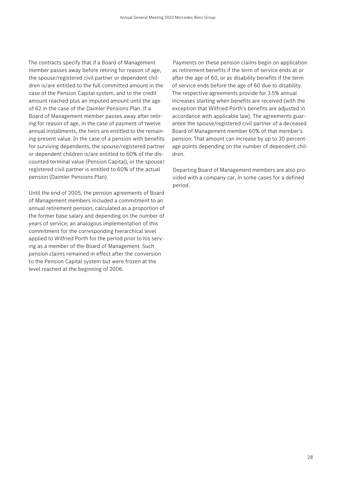The contracts specify that if a Board of Management member passes away before retiring for reason of age, the spouse/registered civil partner or dependent children is/are entitled to the full committed amount in the case of the Pension Capital system, and to the credit amount reached plus an imputed amount until the age of 62 in the case of the Daimler Pensions Plan. If a Board of Management member passes away after retiring for reason of age, in the case of payment of twelve annual installments, the heirs are entitled to the remaining present value. In the case of a pension with benefits for surviving dependents, the spouse/registered partner or dependent children is/are entitled to 60% of the discounted terminal value (Pension Capital), or the spouse/ registered civil partner is entitled to 60% of the actual pension (Daimler Pensions Plan).

Until the end of 2005, the pension agreements of Board of Management members included a commitment to an annual retirement pension, calculated as a proportion of the former base salary and depending on the number of years of service; an analogous implementation of this commitment for the corresponding hierarchical level applied to Wilfried Porth for the period prior to his serving as a member of the Board of Management. Such pension claims remained in effect after the conversion to the Pension Capital system but were frozen at the level reached at the beginning of 2006.

Payments on these pension claims begin on application as retirement benefits if the term of service ends at or after the age of 60, or as disability benefits if the term of service ends before the age of 60 due to disability. The respective agreements provide for 3.5% annual increases starting when benefits are received (with the exception that Wilfried Porth's benefits are adjusted in accordance with applicable law). The agreements guarantee the spouse/registered civil partner of a deceased Board of Management member 60% of that member's pension. That amount can increase by up to 30 percentage points depending on the number of dependent children.

Departing Board of Management members are also provided with a company car, in some cases for a defined period.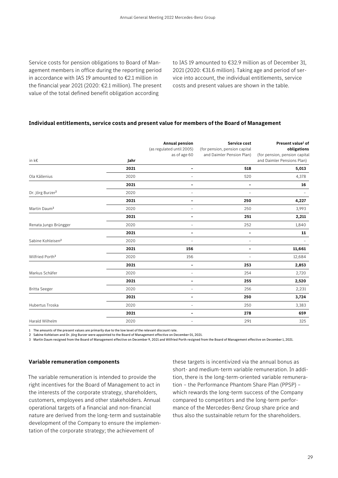Service costs for pension obligations to Board of Management members in office during the reporting period in accordance with IAS 19 amounted to €2.1 million in the financial year 2021 (2020: €2.1 million). The present value of the total defined benefit obligation according

to IAS 19 amounted to €32.9 million as of December 31, 2021 (2020: €31.6 million). Taking age and period of service into account, the individual entitlements, service costs and present values are shown in the table.

### **Individual entitlements, service costs and present value for members of the Board of Management**

|                               |      | <b>Annual pension</b><br>(as regulated until 2005)<br>as of age 60 | Service cost<br>(for pension, pension capital<br>and Daimler Pension Plan) | Present value <sup>1</sup> of<br>obligations<br>(for pension, pension capital |
|-------------------------------|------|--------------------------------------------------------------------|----------------------------------------------------------------------------|-------------------------------------------------------------------------------|
| in k€                         | Jahr |                                                                    |                                                                            | and Daimler Pensions Plan)                                                    |
|                               | 2021 | $\overline{\phantom{a}}$                                           | 518                                                                        | 5,013                                                                         |
| Ola Källenius                 | 2020 |                                                                    | 520                                                                        | 4,378                                                                         |
|                               | 2021 | $\blacksquare$                                                     | -                                                                          | 16                                                                            |
| Dr. Jörg Burzer <sup>2</sup>  | 2020 |                                                                    |                                                                            |                                                                               |
|                               | 2021 | -                                                                  | 250                                                                        | 4,227                                                                         |
| Martin Daum <sup>3</sup>      | 2020 | ÷                                                                  | 250                                                                        | 3,993                                                                         |
|                               | 2021 | $\overline{a}$                                                     | 251                                                                        | 2,211                                                                         |
| Renata Jungo Brüngger         | 2020 |                                                                    | 252                                                                        | 1,840                                                                         |
|                               | 2021 | $\overline{a}$                                                     | -                                                                          | 11                                                                            |
| Sabine Kohleisen <sup>2</sup> | 2020 |                                                                    | $\overline{\phantom{a}}$                                                   |                                                                               |
|                               | 2021 | 156                                                                | $\overline{\phantom{0}}$                                                   | 11,661                                                                        |
| Wilfried Porth <sup>3</sup>   | 2020 | 156                                                                | $\overline{a}$                                                             | 12,684                                                                        |
|                               | 2021 | $\overline{a}$                                                     | 253                                                                        | 2,853                                                                         |
| Markus Schäfer                | 2020 | $\overline{\phantom{a}}$                                           | 254                                                                        | 2,720                                                                         |
|                               | 2021 | -                                                                  | 255                                                                        | 2,520                                                                         |
| <b>Britta Seeger</b>          | 2020 | $\overline{a}$                                                     | 256                                                                        | 2,231                                                                         |
|                               | 2021 | $\overline{\phantom{0}}$                                           | 250                                                                        | 3,724                                                                         |
| Hubertus Troska               | 2020 | ÷                                                                  | 250                                                                        | 3,383                                                                         |
|                               | 2021 | $\overline{a}$                                                     | 278                                                                        | 659                                                                           |
| Harald Wilhelm                | 2020 |                                                                    | 291                                                                        | 325                                                                           |

1 The amounts of the present values are primarily due to the low level of the relevant discount rate.

2 Sabine Kohleisen and Dr. Jörg Burzer were appointed to the Board of Management effective on December 01, 2021.

3 Martin Daum resigned from the Board of Management effective on December 9, 2021 and Wilfried Porth resigned from the Board of Management effective on December 1, 2021.

### **Variable remuneration components**

The variable remuneration is intended to provide the right incentives for the Board of Management to act in the interests of the corporate strategy, shareholders, customers, employees and other stakeholders. Annual operational targets of a financial and non-financial nature are derived from the long-term and sustainable development of the Company to ensure the implementation of the corporate strategy; the achievement of

these targets is incentivized via the annual bonus as short- and medium-term variable remuneration. In addition, there is the long-term-oriented variable remuneration – the Performance Phantom Share Plan (PPSP) – which rewards the long-term success of the Company compared to competitors and the long-term performance of the Mercedes-Benz Group share price and thus also the sustainable return for the shareholders.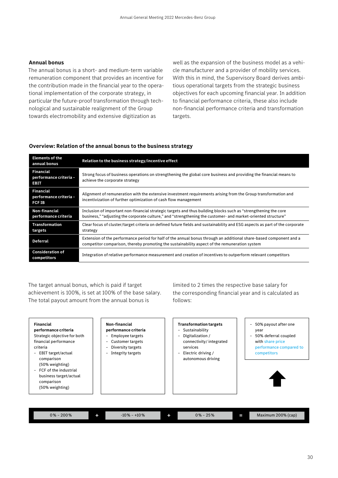### **Annual bonus**

The annual bonus is a short- and medium-term variable remuneration component that provides an incentive for the contribution made in the financial year to the operational implementation of the corporate strategy, in particular the future-proof transformation through technological and sustainable realignment of the Group towards electromobility and extensive digitization as

well as the expansion of the business model as a vehicle manufacturer and a provider of mobility services. With this in mind, the Supervisory Board derives ambitious operational targets from the strategic business objectives for each upcoming financial year. In addition to financial performance criteria, these also include non-financial performance criteria and transformation targets.

### **Overview: Relation of the annual bonus to the business strategy**

| <b>Elements of the</b><br>annual bonus                      | Relation to the business strategy/incentive effect                                                                                                                                                                               |
|-------------------------------------------------------------|----------------------------------------------------------------------------------------------------------------------------------------------------------------------------------------------------------------------------------|
| <b>Financial</b><br>performance criteria -<br><b>EBIT</b>   | Strong focus of business operations on strengthening the global core business and providing the financial means to<br>achieve the corporate strategy                                                                             |
| <b>Financial</b><br>performance criteria -<br><b>FCF IB</b> | Alignment of remuneration with the extensive investment requirements arising from the Group transformation and<br>incentivization of further optimization of cash flow management                                                |
| Non-financial<br>performance criteria                       | Inclusion of important non-financial strategic targets and thus building blocks such as "strengthening the core<br>business," "adjusting the corporate culture," and "strengthening the customer- and market-oriented structure" |
| <b>Transformation</b><br>targets                            | Clear focus of cluster/target criteria on defined future fields and sustainability and ESG aspects as part of the corporate<br>strategy                                                                                          |
| <b>Deferral</b>                                             | Extension of the performance period for half of the annual bonus through an additional share-based component and a<br>competitor comparison, thereby promoting the sustainability aspect of the remuneration system              |
| <b>Consideration of</b><br>competitors                      | Integration of relative performance measurement and creation of incentives to outperform relevant competitors                                                                                                                    |

The target annual bonus, which is paid if target achievement is 100%, is set at 100% of the base salary. The total payout amount from the annual bonus is

limited to 2 times the respective base salary for the corresponding financial year and is calculated as follows:

| <b>Financial</b><br>performance criteria<br>Strategic objective for both<br>financial performance<br>criteria<br>EBIT target/actual<br>$\overline{\phantom{0}}$<br>comparison<br>(50% weighting)<br>- FCF of the industrial<br>business target/actual<br>comparison<br>(50% weighting) | Non-financial<br>performance criteria<br>Employee targets<br>Customer targets<br>Ξ.<br>Diversity targets<br>-<br>Integrity targets<br>$\overline{\phantom{0}}$ | <b>Transformation targets</b><br>- Sustainability<br>Digitalization /<br>connectivity/integrated<br>services<br>Electric driving /<br>$\overline{\phantom{0}}$<br>autonomous driving | 50% payout after one<br>$\overline{a}$<br>year<br>50% deferral coupled<br>$\overline{a}$<br>with share price<br>performance compared to<br>competitors |
|----------------------------------------------------------------------------------------------------------------------------------------------------------------------------------------------------------------------------------------------------------------------------------------|----------------------------------------------------------------------------------------------------------------------------------------------------------------|--------------------------------------------------------------------------------------------------------------------------------------------------------------------------------------|--------------------------------------------------------------------------------------------------------------------------------------------------------|
| $0\% - 200\%$                                                                                                                                                                                                                                                                          | $-10\% - +10\%$<br>۰                                                                                                                                           | $0\% - 25\%$                                                                                                                                                                         | Maximum 200% (cap)<br>Ι                                                                                                                                |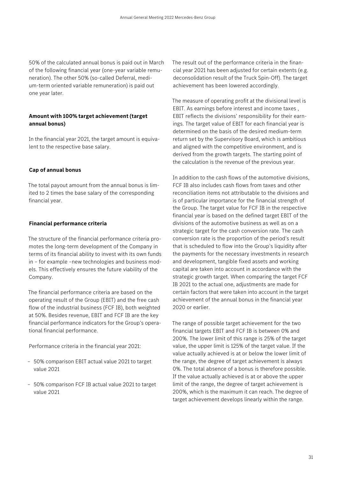50% of the calculated annual bonus is paid out in March of the following financial year (one-year variable remuneration). The other 50% (so-called Deferral, medium-term oriented variable remuneration) is paid out one year later.

### **Amount with 100% target achievement (target annual bonus)**

In the financial year 2021, the target amount is equivalent to the respective base salary.

### **Cap of annual bonus**

The total payout amount from the annual bonus is limited to 2 times the base salary of the corresponding financial year.

### **Financial performance criteria**

The structure of the financial performance criteria promotes the long-term development of the Company in terms of its financial ability to invest with its own funds in – for example –new technologies and business models. This effectively ensures the future viability of the Company.

The financial performance criteria are based on the operating result of the Group (EBIT) and the free cash flow of the industrial business (FCF IB), both weighted at 50%. Besides revenue, EBIT and FCF IB are the key financial performance indicators for the Group's operational financial performance.

Performance criteria in the financial year 2021:

- 50% comparison EBIT actual value 2021 to target value 2021
- 50% comparison FCF IB actual value 2021 to target value 2021

The result out of the performance criteria in the financial year 2021 has been adjusted for certain extents (e.g. deconsolidation result of the Truck Spin-Off). The target achievement has been lowered accordingly.

The measure of operating profit at the divisional level is EBIT. As earnings before interest and income taxes , EBIT reflects the divisions' responsibility for their earnings. The target value of EBIT for each financial year is determined on the basis of the desired medium-term return set by the Supervisory Board, which is ambitious and aligned with the competitive environment, and is derived from the growth targets. The starting point of the calculation is the revenue of the previous year.

In addition to the cash flows of the automotive divisions, FCF IB also includes cash flows from taxes and other reconciliation items not attributable to the divisions and is of particular importance for the financial strength of the Group. The target value for FCF IB in the respective financial year is based on the defined target EBIT of the divisions of the automotive business as well as on a strategic target for the cash conversion rate. The cash conversion rate is the proportion of the period's result that is scheduled to flow into the Group's liquidity after the payments for the necessary investments in research and development, tangible fixed assets and working capital are taken into account in accordance with the strategic growth target. When comparing the target FCF IB 2021 to the actual one, adjustments are made for certain factors that were taken into account in the target achievement of the annual bonus in the financial year 2020 or earlier.

The range of possible target achievement for the two financial targets EBIT and FCF IB is between 0% and 200%. The lower limit of this range is 25% of the target value, the upper limit is 125% of the target value. If the value actually achieved is at or below the lower limit of the range, the degree of target achievement is always 0%. The total absence of a bonus is therefore possible. If the value actually achieved is at or above the upper limit of the range, the degree of target achievement is 200%, which is the maximum it can reach. The degree of target achievement develops linearly within the range.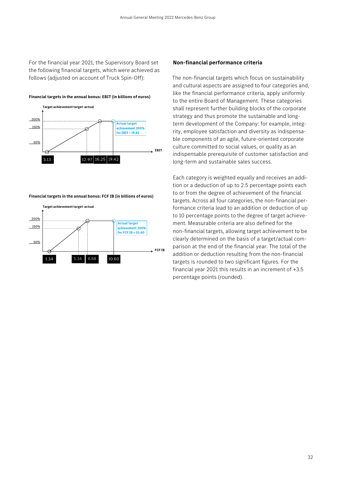For the financial year 2021, the Supervisory Board set the following financial targets, which were achieved as follows (adjusted on account of Truck Spin-Off):





**Financial targets in the annual bonus: FCF IB (in billions of euros)** 



### **Non-financial performance criteria**

The non-financial targets which focus on sustainability and cultural aspects are assigned to four categories and, like the financial performance criteria, apply uniformly to the entire Board of Management. These categories shall represent further building blocks of the corporate strategy and thus promote the sustainable and longterm development of the Company: for example, integrity, employee satisfaction and diversity as indispensable components of an agile, future-oriented corporate culture committed to social values, or quality as an indispensable prerequisite of customer satisfaction and long-term and sustainable sales success.

Each category is weighted equally and receives an addition or a deduction of up to 2.5 percentage points each to or from the degree of achievement of the financial targets. Across all four categories, the non-financial performance criteria lead to an addition or deduction of up to 10 percentage points to the degree of target achievement. Measurable criteria are also defined for the non-financial targets, allowing target achievement to be clearly determined on the basis of a target/actual comparison at the end of the financial year. The total of the addition or deduction resulting from the non-financial targets is rounded to two significant figures. For the financial year 2021 this results in an increment of +3.5 percentage points (rounded).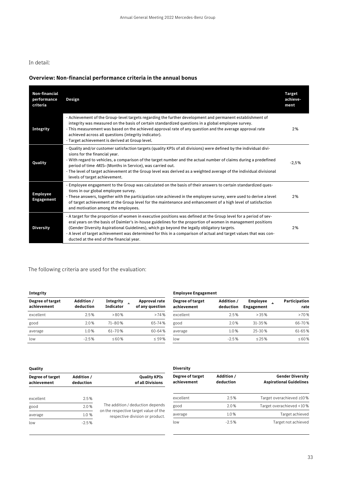### In detail:

### **Overview: Non-financial performance criteria in the annual bonus**

| <b>Non-financial</b><br>performance<br>criteria | Design                                                                                                                                                                                                                                                                                                                                                                                                                                                                                            | <b>Target</b><br>achieve-<br>ment |
|-------------------------------------------------|---------------------------------------------------------------------------------------------------------------------------------------------------------------------------------------------------------------------------------------------------------------------------------------------------------------------------------------------------------------------------------------------------------------------------------------------------------------------------------------------------|-----------------------------------|
| <b>Integrity</b>                                | - Achievement of the Group-level targets regarding the further development and permanent establishment of<br>integrity was measured on the basis of certain standardized questions in a global employee survey.<br>- This measurement was based on the achieved approval rate of any question and the average approval rate<br>achieved across all questions (integrity indicator).<br>- Target achievement is derived at Group level.                                                            | 2%                                |
| Quality                                         | - Quality and/or customer satisfaction targets (quality KPIs of all divisions) were defined by the individual divi-<br>sions for the financial year.<br>- With regard to vehicles, a comparison of the target number and the actual number of claims during a predefined<br>period of time >MIS< (Months in Service), was carried out.<br>- The level of target achievement at the Group level was derived as a weighted average of the individual divisional<br>levels of target achievement.    | $-2.5%$                           |
| <b>Employee</b><br><b>Engagement</b>            | - Employee engagement to the Group was calculated on the basis of their answers to certain standardized ques-<br>tions in our global employee survey.<br>- These answers, together with the participation rate achieved in the employee survey, were used to derive a level<br>of target achievement at the Group level for the maintenance and enhancement of a high level of satisfaction<br>and motivation among the employees.                                                                | 2%                                |
| <b>Diversity</b>                                | - A target for the proportion of women in executive positions was defined at the Group level for a period of sev-<br>eral years on the basis of Daimler's in-house guidelines for the proportion of women in management positions<br>(Gender Diversity Aspirational Guidelines), which go beyond the legally obligatory targets.<br>- A level of target achievement was determined for this in a comparison of actual and target values that was con-<br>ducted at the end of the financial year. | 2%                                |

### The following criteria are used for the evaluation:

| Degree of target<br>achievement | Addition /<br>deduction | <b>Integrity</b><br><b>Indicator</b> | <b>Approval rate</b><br>of any question |
|---------------------------------|-------------------------|--------------------------------------|-----------------------------------------|
| excellent                       | 2.5%                    | > 80%                                | >74%                                    |
| good                            | 2.0%                    | 71-80%                               | 65-74%                                  |
| average                         | 1.0%                    | $61 - 70%$                           | 60-64%                                  |
| low                             | $-2.5%$                 | $\leq 60\%$                          | $\leq 59\%$                             |

| <b>Integrity</b>                |                         |                               | <b>Employee Engagement</b>       |                                 |                         |                               |                       |
|---------------------------------|-------------------------|-------------------------------|----------------------------------|---------------------------------|-------------------------|-------------------------------|-----------------------|
| Degree of target<br>achievement | Addition /<br>deduction | <b>Integrity</b><br>Indicator | Approval rate<br>of any question | Degree of target<br>achievement | Addition /<br>deduction | <b>Employee</b><br>Engagement | Participation<br>rate |
| excellent                       | 2.5%                    | >80%                          | >74%                             | excellent                       | 2.5%                    | > 35%                         | >70%                  |
| good                            | 2.0%                    | $71 - 80%$                    | 65-74%                           | good                            | 2.0%                    | $31 - 35%$                    | 66-70%                |
| average                         | 1.0%                    | $61 - 70%$                    | 60-64%                           | average                         | 1.0%                    | $25 - 30%$                    | 61-65%                |
| low                             | $-2.5%$                 | $\leq 60\%$                   | $\leq 59\%$                      | low                             | $-2.5%$                 | $\leq$ 25%                    | 560%                  |

### **Quality**

| Degree of target<br>achievement | Addition /<br>deduction | <b>Quality KPIs</b><br>of all Divisions                                  |
|---------------------------------|-------------------------|--------------------------------------------------------------------------|
| excellent                       | 2.5%                    |                                                                          |
| good                            | 2.0%                    | The addition / deduction depends                                         |
| average                         | 1.0%                    | on the respective target value of the<br>respective division or product. |
| low                             | $-2.5%$                 |                                                                          |
|                                 |                         |                                                                          |

| <b>Diversity</b>                |                         |                                                           |
|---------------------------------|-------------------------|-----------------------------------------------------------|
| Degree of target<br>achievement | Addition /<br>deduction | <b>Gender Diversity</b><br><b>Aspirational Guidelines</b> |
| excellent                       | 25%                     | Target overachieved ≥10%                                  |
| good                            | 2.0%                    | Target overachieved <10%                                  |
| average                         | 1.0%                    | Target achieved                                           |
| low                             | $-2.5%$                 | Target not achieved                                       |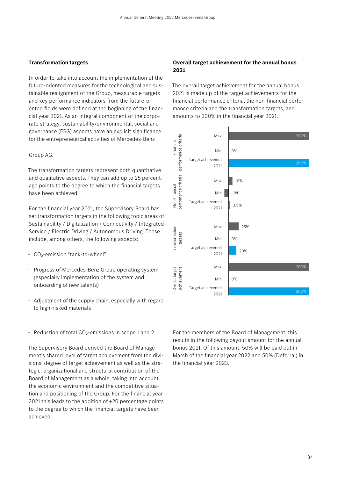### **Transformation targets**

In order to take into account the implementation of the future-oriented measures for the technological and sustainable realignment of the Group, measurable targets and key performance indicators from the future-oriented fields were defined at the beginning of the financial year 2021. As an integral component of the corporate strategy, sustainability/environmental, social and governance (ESG) aspects have an explicit significance for the entrepreneurical activities of Mercedes-Benz

### Group AG.

The transformation targets represent both quantitative and qualitative aspects. They can add up to 25 percentage points to the degree to which the financial targets have been achieved.

For the financial year 2021, the Supervisory Board has set transformation targets in the following topic areas of Sustainability / Digitalization / Connectivity / Integrated Service / Electric Driving / Autonomous Driving. These include, among others, the following aspects:

- CO2-emission "tank-to-wheel"
- Progress of Mercedes-Benz Group operating system (especially implementation of the system and onboarding of new talents)
- Adjustment of the supply chain, especially with regard to high-risked materials
- Reduction of total  $CO<sub>2</sub>$ -emissions in scope 1 and 2

The Supervisory Board derived the Board of Management's shared level of target achievement from the divisions' degree of target achievement as well as the strategic, organizational and structural contribution of the Board of Management as a whole, taking into account the economic environment and the competitive situation and positioning of the Group. For the financial year 2021 this leads to the addition of +20 percentage points to the degree to which the financial targets have been achieved.

### **Overall target achievement for the annual bonus 2021**

The overall target achievement for the annual bonus 2021 is made up of the target achievements for the financial performance criteria, the non-financial performance criteria and the transformation targets, and amounts to 200% in the financial year 2021.



For the members of the Board of Management, this results in the following payout amount for the annual bonus 2021. Of this amount, 50% will be paid out in March of the financial year 2022 and 50% (Deferral) in the financial year 2023.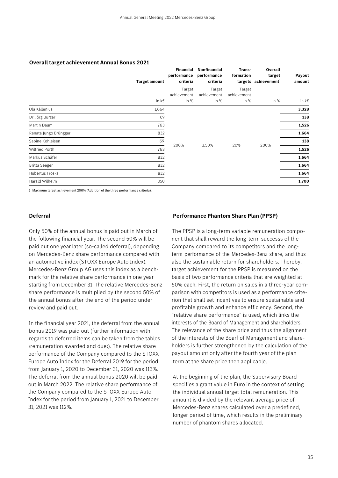| <b>Target amount</b>  |       | Financial<br>performance<br>criteria | Nonfinancial<br>performance<br>criteria | Trans-<br>formation | Overall<br>target<br>targets achievement <sup>1</sup> | Payout<br>amount |
|-----------------------|-------|--------------------------------------|-----------------------------------------|---------------------|-------------------------------------------------------|------------------|
|                       |       | Target                               | Target                                  | Target              |                                                       |                  |
|                       |       | achievement                          | achievement                             | achievement         |                                                       |                  |
|                       | in k€ | in %                                 | in %                                    | in %                | in %                                                  | in k€            |
| Ola Källenius         | 1,664 |                                      |                                         |                     |                                                       | 3,328            |
| Dr. Jörg Burzer       | 69    |                                      |                                         |                     |                                                       | 138              |
| Martin Daum           | 763   |                                      |                                         |                     |                                                       | 1,526            |
| Renata Jungo Brüngger | 832   |                                      |                                         |                     |                                                       | 1,664            |
| Sabine Kohleisen      | 69    |                                      |                                         |                     |                                                       | 138              |
| <b>Wilfried Porth</b> | 763   | 200%                                 | 3.50%                                   | 20%                 | 200%                                                  | 1,526            |
| Markus Schäfer        | 832   |                                      |                                         |                     |                                                       | 1,664            |
| <b>Britta Seeger</b>  | 832   |                                      |                                         |                     |                                                       | 1,664            |
| Hubertus Troska       | 832   |                                      |                                         |                     |                                                       | 1,664            |
| Harald Wilhelm        | 850   |                                      |                                         |                     |                                                       | 1,700            |

### **Overall target achievement Annual Bonus 2021**

1 Maximum target achievement 200% (Addition of the three performance criteria).

### **Deferral**

Only 50% of the annual bonus is paid out in March of the following financial year. The second 50% will be paid out one year later (so-called deferral), depending on Mercedes-Benz share performance compared with an automotive index (STOXX Europe Auto Index). Mercedes-Benz Group AG uses this index as a benchmark for the relative share performance in one year starting from December 31. The relative Mercedes-Benz share performance is multiplied by the second 50% of the annual bonus after the end of the period under review and paid out.

In the financial year 2021, the deferral from the annual bonus 2019 was paid out (further information with regards to deferred items can be taken from the tables ›remuneration awarded and due‹). The relative share performance of the Company compared to the STOXX Europe Auto Index for the Deferral 2019 for the period from January 1, 2020 to December 31, 2020 was 113%. The deferral from the annual bonus 2020 will be paid out in March 2022. The relative share performance of the Company compared to the STOXX Europe Auto Index for the period from January 1, 2021 to December 31, 2021 was 112%.

### **Performance Phantom Share Plan (PPSP)**

The PPSP is a long-term variable remuneration component that shall reward the long-term successs of the Company compared to its competitors and the longterm performance of the Mercedes-Benz share, and thus also the sustainable return for shareholders. Thereby, target achievement for the PPSP is measured on the basis of two performance criteria that are weighted at 50% each. First, the return on sales in a three-year comparison with competitors is used as a performance criterion that shall set incentives to ensure sustainable and profitable growth and enhance efficiency. Second, the "relative share performance" is used, which links the interests of the Board of Management and shareholders. The relevance of the share price and thus the alignment of the interests of the Boarf of Management and shareholders is further strengthened by the calculation of the payout amount only after the fourth year of the plan term at the share price then applicable.

At the beginning of the plan, the Supervisory Board specifies a grant value in Euro in the context of setting the individual annual target total remuneration. This amount is divided by the relevant average price of Mercedes-Benz shares calculated over a predefined, longer period of time, which results in the preliminary number of phantom shares allocated.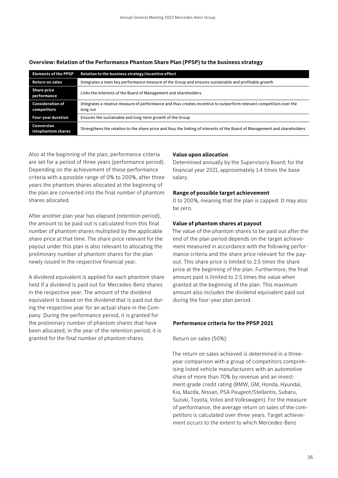| <b>Elements of the PPSP</b>            | Relation to the business strategy/incentive effect                                                                              |
|----------------------------------------|---------------------------------------------------------------------------------------------------------------------------------|
| <b>Return on sales</b>                 | Integrates a main key performance measure of the Group and ensures sustainable and profitable growth                            |
| <b>Share price</b><br>performance      | Links the interests of the Board of Management and shareholders                                                                 |
| <b>Consideration of</b><br>competitors | Integrates a relative measure of performance and thus creates incentive to outperform relevant competitors over the<br>long run |
| <b>Four-year duration</b>              | Ensures the sustainable and long-term growth of the Group                                                                       |
| Conversion<br>intophantom shares       | Strengthens the relation to the share price and thus the linking of interests of the Board of Management and shareholders       |

### **Overview: Relation of the Performance Phantom Share Plan (PPSP) to the business strategy**

Also at the beginning of the plan, performance criteria are set for a period of three years (performance period). Depending on the achievement of these performance criteria with a possible range of 0% to 200%, after three years the phantom shares allocated at the beginning of the plan are converted into the final number of phantom shares allocated.

After another plan year has elapsed (retention period), the amount to be paid out is calculated from this final number of phantom shares multiplied by the applicable share price at that time. The share price relevant for the payout under this plan is also relevant to allocating the preliminary number of phantom shares for the plan newly issued in the respective financial year.

A dividend equivalent is applied for each phantom share held if a dividend is paid out for Mercedes-Benz shares in the respective year. The amount of the dividend equivalent is based on the dividend that is paid out during the respective year for an actual share in the Company. During the performance period, it is granted for the preliminary number of phantom shares that have been allocated; in the year of the retention period, it is granted for the final number of phantom shares.

### **Value upon allocation**

Determined annually by the Supervisory Board; for the financial year 2021, approximately 1.4 times the base salary.

### **Range of possible target achievement**

0 to 200%, meaning that the plan is capped. It may also be zero.

### **Value of phantom shares at payout**

The value of the phantom shares to be paid out after the end of the plan period depends on the target achievement measured in accordance with the following performance criteria and the share price relevant for the payout. This share price is limited to 2.5 times the share price at the beginning of the plan. Furthermore, the final amount paid is limited to 2.5 times the value when granted at the beginning of the plan. This maximum amount also includes the dividend equivalent paid out during the four-year plan period.

### **Performance criteria for the PPSP 2021**

Return on sales (50%):

The return on sales achieved is determined in a threeyear comparison with a group of competitors comprimising listed vehicle manufacturers with an automotive share of more than 70% by revenue and an investment-grade credit rating (BMW, GM, Honda, Hyundai, Kia, Mazda, Nissan, PSA Peugeot/Stellantis, Subaru, Suzuki, Toyota, Volvo and Volkswagen). For the measure of performance, the average return on sales of the competitors is calculated over three years. Target achievement occurs to the extent to which Mercedes-Benz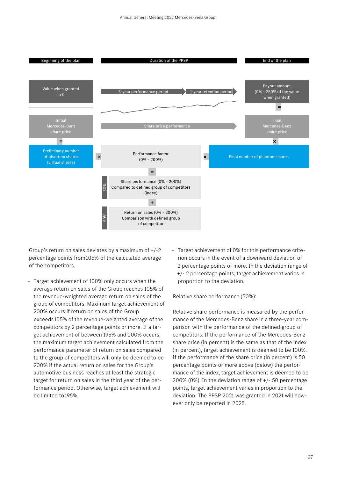

Group's return on sales deviates by a maximum of +/-2 percentage points from 105% of the calculated average of the competitors.

- Target achievement of 100% only occurs when the average return on sales of the Group reaches 105% of the revenue-weighted average return on sales of the group of competitors. Maximum target achievement of 200% occurs if return on sales of the Group exceeds 105% of the revenue-weighted average of the competitors by 2 percentage points or more. If a target achievement of between 195% and 200% occurs, the maximum target achievement calculated from the performance parameter of return on sales compared to the group of competitors will only be deemed to be 200% if the actual return on sales for the Group's automotive business reaches at least the strategic target for return on sales in the third year of the performance period. Otherwise, target achievement will be limited to 195%.
- Target achievement of 0% for this performance criterion occurs in the event of a downward deviation of 2 percentage points or more. In the deviation range of +/- 2 percentage points, target achievement varies in proportion to the deviation.

Relative share performance (50%):

Relative share performance is measured by the performance of the Mercedes-Benz share in a three-year comparison with the performance of the defined group of competitors. If the performance of the Mercedes-Benz share price (in percent) is the same as that of the index (in percent), target achievement is deemed to be 100%. If the performance of the share price (in percent) is 50 percentage points or more above (below) the performance of the index, target achievement is deemed to be 200% (0%). In the deviation range of +/- 50 percentage points, target achievement varies in proportion to the deviation. The PPSP 2021 was granted in 2021 will however only be reported in 2025.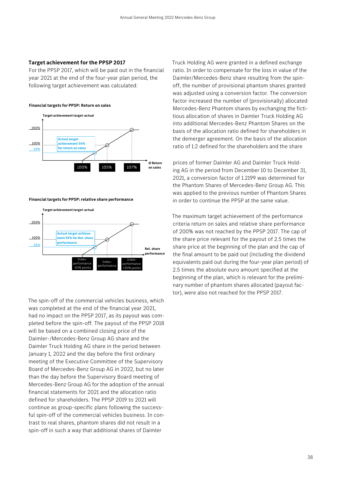### **Target achievement for the PPSP 2017**

For the PPSP 2017, which will be paid out in the financial year 2021 at the end of the four-year plan period, the following target achievement was calculated:

### **Financial targets for PPSP: Return on sales**



**Financial targets for PPSP: relative share performance** 



The spin-off of the commercial vehicles business, which was completed at the end of the financial year 2021, had no impact on the PPSP 2017, as its payout was completed before the spin-off. The payout of the PPSP 2018 will be based on a combined closing price of the Daimler-/Mercedes-Benz Group AG share and the Daimler Truck Holding AG share in the period between January 1, 2022 and the day before the first ordinary meeting of the Executive Committee of the Supervisory Board of Mercedes-Benz Group AG in 2022, but no later than the day before the Supervisory Board meeting of Mercedes-Benz Group AG for the adoption of the annual financial statements for 2021 and the allocation ratio defined for shareholders. The PPSP 2019 to 2021 will continue as group-specific plans following the successful spin-off of the commercial vehicles business. In contrast to real shares, phantom shares did not result in a spin-off in such a way that additional shares of Daimler

Truck Holding AG were granted in a defined exchange ratio. In order to compensate for the loss in value of the Daimler/Mercedes-Benz share resulting from the spinoff, the number of provisional phantom shares granted was adjusted using a conversion factor. The conversion factor increased the number of (provisionally) allocated Mercedes-Benz Phantom shares by exchanging the fictitious allocation of shares in Daimler Truck Holding AG into additional Mercedes-Benz Phantom Shares on the basis of the allocation ratio defined for shareholders in the demerger agreement. On the basis of the allocation ratio of 1:2 defined for the shareholders and the share

prices of former Daimler AG and Daimler Truck Holding AG in the period from December 10 to December 31, 2021, a conversion factor of 1.2199 was determined for the Phantom Shares of Mercedes-Benz Group AG. This was applied to the previous number of Phantom Shares in order to continue the PPSP at the same value.

The maximum target achievement of the performance criteria return on sales and relative share performance of 200% was not reached by the PPSP 2017. The cap of the share price relevant for the payout of 2.5 times the share price at the beginning of the plan and the cap of the final amount to be paid out (including the dividend equivalents paid out during the four-year plan period) of 2.5 times the absolute euro amount specified at the beginning of the plan, which is relevant for the preliminary number of phantom shares allocated (payout factor), were also not reached for the PPSP 2017.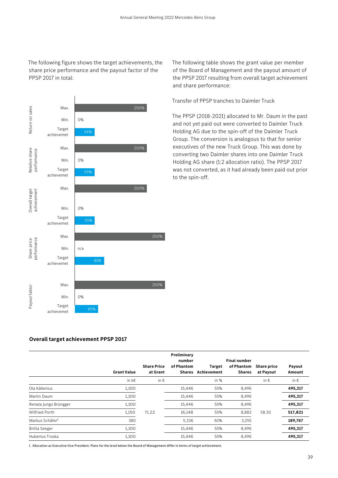The following figure shows the target achievements, the share price performance and the payout factor of the PPSP 2017 in total:



The following table shows the grant value per member of the Board of Management and the payout amount of the PPSP 2017 resulting from overall target achievement and share performance:

Transfer of PPSP tranches to Daimler Truck

The PPSP (2018-2021) allocated to Mr. Daum in the past and not yet paid out were converted to Daimler Truck Holding AG due to the spin-off of the Daimler Truck Group. The conversion is analogous to that for senior executives of the new Truck Group. This was done by converting two Daimler shares into one Daimler Truck Holding AG share (1:2 allocation ratio). The PPSP 2017 was not converted, as it had already been paid out prior to the spin-off.

### **Overall target achievement PPSP 2017**

|                             |                    | <b>Share Price</b> | Preliminary<br>number<br>of Phantom | Target      | <b>Final number</b><br>of Phantom | <b>Share price</b> | Payout        |
|-----------------------------|--------------------|--------------------|-------------------------------------|-------------|-----------------------------------|--------------------|---------------|
|                             | <b>Grant Value</b> | at Grant           | <b>Shares</b>                       | Achievement | <b>Shares</b>                     | at Payout          | Amount        |
|                             | in k€              | in $\epsilon$      |                                     | in $%$      |                                   | in $\epsilon$      | in $\epsilon$ |
| Ola Källenius               | 1,100              |                    | 15,446                              | 55%         | 8,496                             |                    | 495,317       |
| Martin Daum                 | 1,100              |                    | 15,446                              | 55%         | 8,496                             |                    | 495,317       |
| Renata Jungo Brüngger       | 1,100              |                    | 15,446                              | 55%         | 8,496                             |                    | 495,317       |
| <b>Wilfried Porth</b>       | 1,150              | 71.22              | 16,148                              | 55%         | 8,882                             | 58.30              | 517,821       |
| Markus Schäfer <sup>1</sup> | 380                |                    | 5,336                               | 61%         | 3,255                             |                    | 189,767       |
| <b>Britta Seeger</b>        | 1,100              |                    | 15,446                              | 55%         | 8,496                             |                    | 495,317       |
| Hubertus Troska             | 1,100              |                    | 15,446                              | 55%         | 8,496                             |                    | 495,317       |

1 Allocation as Executive Vice President. Plans for the level below the Board of Management differ in terms of target achievement.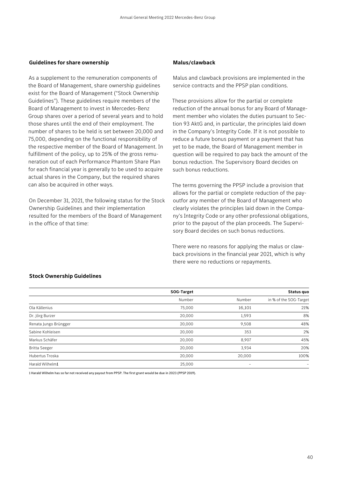### **Guidelines for share ownership**

As a supplement to the remuneration components of the Board of Management, share ownership guidelines exist for the Board of Management ("Stock Ownership Guidelines"). These guidelines require members of the Board of Management to invest in Mercedes-Benz Group shares over a period of several years and to hold those shares until the end of their employment. The number of shares to be held is set between 20,000 and 75,000, depending on the functional responsibility of the respective member of the Board of Management. In fulfillment of the policy, up to 25% of the gross remuneration out of each Performance Phantom Share Plan for each financial year is generally to be used to acquire actual shares in the Company, but the required shares can also be acquired in other ways.

On December 31, 2021, the following status for the Stock Ownership Guidelines and their implementation resulted for the members of the Board of Management in the office of that time:

### **Malus/clawback**

Malus and clawback provisions are implemented in the service contracts and the PPSP plan conditions.

These provisions allow for the partial or complete reduction of the annual bonus for any Board of Management member who violates the duties pursuant to Section 93 AktG and, in particular, the principles laid down in the Company's Integrity Code. If it is not possible to reduce a future bonus payment or a payment that has yet to be made, the Board of Management member in question will be required to pay back the amount of the bonus reduction. The Supervisory Board decides on such bonus reductions.

The terms governing the PPSP include a provision that allows for the partial or complete reduction of the payoutfor any member of the Board of Management who clearly violates the principles laid down in the Company's Integrity Code or any other professional obligations, prior to the payout of the plan proceeds. The Supervisory Board decides on such bonus reductions.

There were no reasons for applying the malus or clawback provisions in the financial year 2021, which is why there were no reductions or repayments.

### **Stock Ownership Guidelines**

|                       | SOG-Target |        | Status quo             |
|-----------------------|------------|--------|------------------------|
|                       | Number     | Number | in % of the SOG-Target |
| Ola Källenius         | 75,000     | 16,101 | 21%                    |
| Dr. Jörg Burzer       | 20,000     | 1,593  | 8%                     |
| Renata Jungo Brüngger | 20,000     | 9,508  | 48%                    |
| Sabine Kohleisen      | 20,000     | 353    | 2%                     |
| Markus Schäfer        | 20,000     | 8,907  | 45%                    |
| <b>Britta Seeger</b>  | 20,000     | 3,934  | 20%                    |
| Hubertus Troska       | 20,000     | 20,000 | 100%                   |
| Harald Wilhelm1       | 25,000     | -      |                        |

1 Harald Wilhelm has so far not received any payout from PPSP. The first grant would be due in 2023 (PPSP 2019).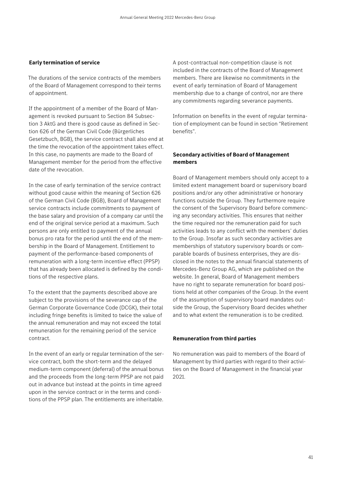### **Early termination of service**

The durations of the service contracts of the members of the Board of Management correspond to their terms of appointment.

If the appointment of a member of the Board of Management is revoked pursuant to Section 84 Subsection 3 AktG and there is good cause as defined in Section 626 of the German Civil Code (Bürgerliches Gesetzbuch, BGB), the service contract shall also end at the time the revocation of the appointment takes effect. In this case, no payments are made to the Board of Management member for the period from the effective date of the revocation.

In the case of early termination of the service contract without good cause within the meaning of Section 626 of the German Civil Code (BGB), Board of Management service contracts include commitments to payment of the base salary and provision of a company car until the end of the original service period at a maximum. Such persons are only entitled to payment of the annual bonus pro rata for the period until the end of the membership in the Board of Management. Entitlement to payment of the performance-based components of remuneration with a long-term incentive effect (PPSP) that has already been allocated is defined by the conditions of the respective plans.

To the extent that the payments described above are subject to the provisions of the severance cap of the German Corporate Governance Code (DCGK), their total including fringe benefits is limited to twice the value of the annual remuneration and may not exceed the total remuneration for the remaining period of the service contract.

In the event of an early or regular termination of the service contract, both the short-term and the delayed medium-term component (deferral) of the annual bonus and the proceeds from the long-term PPSP are not paid out in advance but instead at the points in time agreed upon in the service contract or in the terms and conditions of the PPSP plan. The entitlements are inheritable.

A post-contractual non-competition clause is not included in the contracts of the Board of Management members. There are likewise no commitments in the event of early termination of Board of Management membership due to a change of control, nor are there any commitments regarding severance payments.

Information on benefits in the event of regular termination of employment can be found in section "Retirement benefits".

### **Secondary activities of Board of Management members**

Board of Management members should only accept to a limited extent management board or supervisory board positions and/or any other administrative or honorary functions outside the Group. They furthermore require the consent of the Supervisory Board before commencing any secondary activities. This ensures that neither the time required nor the remuneration paid for such activities leads to any conflict with the members' duties to the Group. Insofar as such secondary activities are memberships of statutory supervisory boards or comparable boards of business enterprises, they are disclosed in the notes to the annual financial statements of Mercedes-Benz Group AG, which are published on the website. In general, Board of Management members have no right to separate remuneration for board positions held at other companies of the Group. In the event of the assumption of supervisory board mandates outside the Group, the Supervisory Board decides whether and to what extent the remuneration is to be credited.

### **Remuneration from third parties**

No remuneration was paid to members of the Board of Management by third parties with regard to their activities on the Board of Management in the financial year 2021.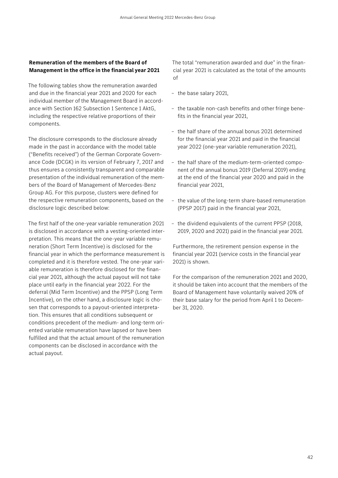### **Remuneration of the members of the Board of Management in the office in the financial year 2021**

The following tables show the remuneration awarded and due in the financial year 2021 and 2020 for each individual member of the Management Board in accordance with Section 162 Subsection 1 Sentence 1 AktG, including the respective relative proportions of their components.

The disclosure corresponds to the disclosure already made in the past in accordance with the model table ("Benefits received") of the German Corporate Governance Code (DCGK) in its version of February 7, 2017 and thus ensures a consistently transparent and comparable presentation of the individual remuneration of the members of the Board of Management of Mercedes-Benz Group AG. For this purpose, clusters were defined for the respective remuneration components, based on the disclosure logic described below:

The first half of the one-year variable remuneration 2021 is disclosed in accordance with a vesting-oriented interpretation. This means that the one-year variable remuneration (Short Term Incentive) is disclosed for the financial year in which the performance measurement is completed and it is therefore vested. The one-year variable remuneration is therefore disclosed for the financial year 2021, although the actual payout will not take place until early in the financial year 2022. For the deferral (Mid Term Incentive) and the PPSP (Long Term Incentive), on the other hand, a disclosure logic is chosen that corresponds to a payout-oriented interpretation. This ensures that all conditions subsequent or conditions precedent of the medium- and long-term oriented variable remuneration have lapsed or have been fulfilled and that the actual amount of the remuneration components can be disclosed in accordance with the actual payout.

The total "remuneration awarded and due" in the financial year 2021 is calculated as the total of the amounts of

- the base salary 2021,
- the taxable non-cash benefits and other fringe benefits in the financial year 2021,
- the half share of the annual bonus 2021 determined for the financial year 2021 and paid in the financial year 2022 (one-year variable remuneration 2021),
- the half share of the medium-term-oriented component of the annual bonus 2019 (Deferral 2019) ending at the end of the financial year 2020 and paid in the financial year 2021,
- the value of the long-term share-based remuneration (PPSP 2017) paid in the financial year 2021,
- the dividend equivalents of the current PPSP (2018, 2019, 2020 and 2021) paid in the financial year 2021.

Furthermore, the retirement pension expense in the financial year 2021 (service costs in the financial year 2021) is shown.

For the comparison of the remuneration 2021 and 2020, it should be taken into account that the members of the Board of Management have voluntarily waived 20% of their base salary for the period from April 1 to December 31, 2020.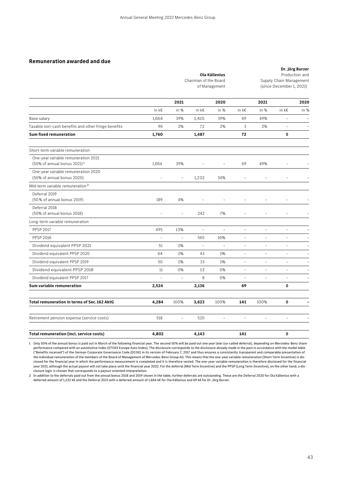|                                                                                 | Ola Källenius<br>Chairman of the Board<br>of Management |                          |                          |                          |                          | Production and<br>Supply Chain Management<br>(since December 1, 2021) |                          |                          |
|---------------------------------------------------------------------------------|---------------------------------------------------------|--------------------------|--------------------------|--------------------------|--------------------------|-----------------------------------------------------------------------|--------------------------|--------------------------|
|                                                                                 |                                                         | 2021                     |                          | 2020                     |                          | 2021                                                                  |                          | 2020                     |
|                                                                                 | in k€                                                   | in %                     | in k€                    | in %                     | in k€                    | in %                                                                  | in k€                    | in %                     |
| Base salary                                                                     | 1,664                                                   | 39%                      | 1,415                    | 39%                      | 69                       | 49%                                                                   | $\overline{\phantom{0}}$ |                          |
| Taxable non-cash benefits and other fringe benefits                             | 96                                                      | 2%                       | 72                       | 2%                       | 3                        | 2%                                                                    | $\overline{\phantom{a}}$ |                          |
| <b>Sum fixed remuneration</b>                                                   | 1,760                                                   |                          | 1,487                    |                          | 72                       |                                                                       | 0                        |                          |
| Short-term variable remuneration                                                |                                                         |                          |                          |                          |                          |                                                                       |                          |                          |
| One-year variable remuneration 2021<br>$(50\% \text{ of annual bonus } 2021)^1$ | 1,664                                                   | 39%                      |                          |                          | 69                       | 49%                                                                   |                          |                          |
| One-year variable remuneration 2020<br>(50% of annual bonus 2020)               |                                                         |                          | 1,232                    | 34%                      |                          |                                                                       |                          |                          |
| Mid-term variable remuneration <sup>2</sup>                                     |                                                         |                          |                          |                          |                          |                                                                       |                          |                          |
| Deferral 2019<br>(50% of annual bonus 2019)                                     | 189                                                     | 4%                       |                          |                          |                          |                                                                       |                          |                          |
| Deferral 2018<br>(50% of annual bonus 2018)                                     | $\overline{a}$                                          |                          | 242                      | 7%                       | $\overline{a}$           | $\overline{a}$                                                        |                          |                          |
| Long-term variable remuneration                                                 |                                                         |                          |                          |                          |                          |                                                                       |                          |                          |
| <b>PPSP 2017</b>                                                                | 495                                                     | 13%                      | $\equiv$                 | $\overline{\phantom{0}}$ | $\overline{\phantom{0}}$ | $\overline{\phantom{a}}$                                              | $\qquad \qquad -$        |                          |
| <b>PPSP 2016</b>                                                                | $\overline{a}$                                          | $\overline{\phantom{a}}$ | 565                      | 16%                      | $\overline{a}$           | $\overline{a}$                                                        | $\overline{a}$           |                          |
| Dividend equivalent PPSP 2021                                                   | 51                                                      | 1%                       | $\overline{\phantom{a}}$ | $\overline{a}$           | $\overline{a}$           | $\overline{\phantom{a}}$                                              | $\overline{\phantom{a}}$ |                          |
| Dividend equivalent PPSP 2020                                                   | 64                                                      | 1%                       | 43                       | 1%                       | $\overline{a}$           | $\overline{a}$                                                        | $\overline{a}$           |                          |
| Dividend equivalent PPSP 2019                                                   | 50                                                      | 1%                       | 33                       | 1%                       | $\overline{\phantom{0}}$ | $\qquad \qquad -$                                                     | $\qquad \qquad -$        |                          |
| Dividend equivalent PPSP 2018                                                   | 11                                                      | 0%                       | 13                       | 0%                       | $\overline{a}$           | $\overline{a}$                                                        | $\overline{a}$           |                          |
| Dividend equivalent PPSP 2017                                                   | $\overline{a}$                                          | $\overline{\phantom{a}}$ | 8                        | 0%                       | $\overline{a}$           | $\equiv$                                                              | $\overline{\phantom{a}}$ | $\overline{\phantom{a}}$ |
| Sum variable remuneration                                                       | 2,524                                                   |                          | 2,136                    |                          | 69                       |                                                                       | 0                        |                          |
| Total remuneration in terms of Sec. 162 AktG                                    | 4,284                                                   | 100%                     | 3,623                    | 100%                     | 141                      | 100%                                                                  | 0                        |                          |
| Retirement pension expense (service costs)                                      | 518                                                     | $\overline{\phantom{a}}$ | 520                      |                          | $\overline{a}$           | $\overline{a}$                                                        |                          |                          |
| <b>Total remuneration (incl. service costs)</b>                                 | 4,802                                                   |                          | 4,143                    |                          | 141                      |                                                                       | 0                        |                          |

1 Only 50% of the annual bonus is paid out in March of the following financial year. The second 50% will be paid out one year later (so-called deferral), depending on Mercedes-Benz share performance compared with an automotive index (STOXX Europe Auto Index). The disclosure corresponds to the disclosure already made in the past in accordance with the model table ("Benefits received") of the German Corporate Governance Code (DCGK) in its version of February 7, 2017 and thus ensures a consistently transparent and comparable presentation of the individual remuneration of the members of the Board of Management of Mercedes-Benz Group AG. This means that the one-year variable remuneration (Short Term Incentive) is disclosed for the financial year in which the performance measurement is completed and it is therefore vested. The one-year variable remuneration is therefore disclosed for the financial year 2021, although the actual payout will not take place until the financial year 2022. For the deferral (Mid Term Incentive) and the PPSP (Long Term Incentive), on the other hand, a disclosure logic is chosen that corresponds to a payout-oriented interpretation.

2 In addition to the deferrals paid out from the annual bonus 2018 and 2019 shown in the table, further deferrals are outstanding. These are the Deferral 2020 for Ola Källenius with a deferred amount of 1,232 k€ and the Deferral 2021 with a deferred amount of 1,664 k€ for Ola Källenius and 69 k€ for Dr. Jörg Burzer.

**Dr. Jörg Burzer**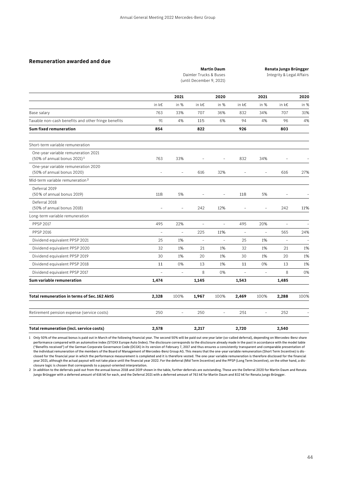|            |      | <b>Martin Daum</b><br>Daimler Trucks & Buses<br>(until December 9, 2021) |      |            |      | Renata Jungo Brüngger<br>Integrity & Legal Affairs |        |
|------------|------|--------------------------------------------------------------------------|------|------------|------|----------------------------------------------------|--------|
|            | 2021 |                                                                          | 2020 |            | 2021 |                                                    | 2020   |
| in $k \in$ | in % | in k€                                                                    | in % | in $k \in$ | in % | in $k \in$                                         | in $%$ |

Base salary 763 33% 707 36% 832 34% 707 31%

| Taxable non-cash benefits and other fringe benefits                            | 91             | 4%             | 115                      | 6%                       | 94                       | 4%                       | 96                       | 4%   |
|--------------------------------------------------------------------------------|----------------|----------------|--------------------------|--------------------------|--------------------------|--------------------------|--------------------------|------|
| <b>Sum fixed remuneration</b>                                                  | 854            |                | 822                      |                          | 926                      |                          | 803                      |      |
| Short-term variable remuneration                                               |                |                |                          |                          |                          |                          |                          |      |
| One-year variable remuneration 2021<br>(50% of annual bonus 2021) <sup>1</sup> | 763            | 33%            | $\overline{\phantom{0}}$ | $\overline{\phantom{a}}$ | 832                      | 34%                      | $\overline{\phantom{0}}$ |      |
| One-year variable remuneration 2020<br>(50% of annual bonus 2020)              |                |                | 616                      | 32%                      |                          |                          | 616                      | 27%  |
| Mid-term variable remuneration <sup>2</sup>                                    |                |                |                          |                          |                          |                          |                          |      |
| Deferral 2019<br>(50% of annual bonus 2019)                                    | 118            | 5%             | $\overline{a}$           | $\overline{\phantom{a}}$ | 118                      | 5%                       | $\overline{\phantom{a}}$ |      |
| Deferral 2018<br>(50% of annual bonus 2018)                                    | $\overline{a}$ | $\overline{a}$ | 242                      | 12%                      | $\overline{\phantom{a}}$ | $\overline{\phantom{a}}$ | 242                      | 11%  |
| Long-term variable remuneration                                                |                |                |                          |                          |                          |                          |                          |      |
| <b>PPSP 2017</b>                                                               | 495            | 22%            | $\overline{\phantom{0}}$ | $\overline{a}$           | 495                      | 20%                      | $\sim$                   |      |
| <b>PPSP 2016</b>                                                               | $\overline{a}$ | $\overline{a}$ | 225                      | 11%                      |                          | $\overline{a}$           | 565                      | 24%  |
| Dividend equivalent PPSP 2021                                                  | 25             | 1%             | $\overline{\phantom{a}}$ | $\overline{\phantom{a}}$ | 25                       | 1%                       | $\overline{\phantom{a}}$ |      |
| Dividend equivalent PPSP 2020                                                  | 32             | 1%             | 21                       | 1%                       | 32                       | 1%                       | 21                       | 1%   |
| Dividend equivalent PPSP 2019                                                  | 30             | 1%             | 20                       | 1%                       | 30                       | 1%                       | 20                       | 1%   |
| Dividend equivalent PPSP 2018                                                  | 11             | 0%             | 13                       | 1%                       | 11                       | 0%                       | 13                       | 1%   |
| Dividend equivalent PPSP 2017                                                  | $\overline{a}$ | $\equiv$       | 8                        | 0%                       | ٠                        | $\overline{\phantom{a}}$ | 8                        | 0%   |
| Sum variable remuneration                                                      | 1,474          |                | 1,145                    |                          | 1,543                    |                          | 1,485                    |      |
| <b>Total remuneration in terms of Sec. 162 AktG</b>                            | 2,328          | 100%           | 1,967                    | 100%                     | 2,469                    | 100%                     | 2,288                    | 100% |
| Retirement pension expense (service costs)                                     | 250            | $\overline{a}$ | 250                      | $\overline{a}$           | 251                      | $\overline{a}$           | 252                      |      |
| <b>Total remuneration (incl. service costs)</b>                                | 2,578          |                | 2,217                    |                          | 2,720                    |                          | 2,540                    |      |

1 Only 50% of the annual bonus is paid out in March of the following financial year. The second 50% will be paid out one year later (so-called deferral), depending on Mercedes-Benz share performance compared with an automotive index (STOXX Europe Auto Index). The disclosure corresponds to the disclosure already made in the past in accordance with the model table ("Benefits received") of the German Corporate Governance Code (DCGK) in its version of February 7, 2017 and thus ensures a consistently transparent and comparable presentation of the individual remuneration of the members of the Board of Management of Mercedes-Benz Group AG. This means that the one-year variable remuneration (Short Term Incentive) is disclosed for the financial year in which the performance measurement is completed and it is therefore vested. The one-year variable remuneration is therefore disclosed for the financial year 2021, although the actual payout will not take place until the financial year 2022. For the deferral (Mid Term Incentive) and the PPSP (Long Term Incentive), on the other hand, a disclosure logic is chosen that corresponds to a payout-oriented interpretation.

2 In addition to the deferrals paid out from the annual bonus 2018 and 2019 shown in the table, further deferrals are outstanding. These are the Deferral 2020 for Martin Daum and Renata Jungo Brüngger with a deferred amount of 616 k€ for each, and the Deferral 2021 with a deferred amount of 763 k€ for Martin Daum and 832 k€ for Renata Jungo Brüngger.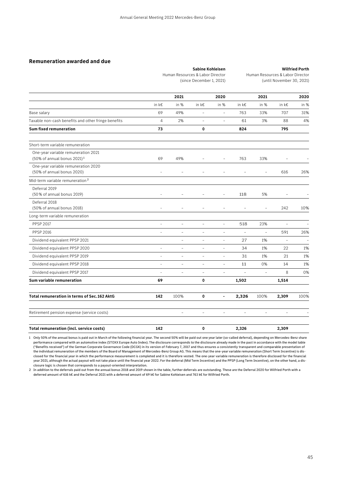### **Sabine Kohleisen**  Human Resources & Labor Director (since December 1, 2021)

**Wilfried Porth**  Human Resources & Labor Director (until November 30, 2021)

|                                                                                 |                | 2021                     |                | 2020                     |                          | 2021              |                          | 2020 |
|---------------------------------------------------------------------------------|----------------|--------------------------|----------------|--------------------------|--------------------------|-------------------|--------------------------|------|
|                                                                                 | in k€          | in %                     | in k€          | in %                     | in k€                    | in %              | in $k \in$               | in % |
| Base salary                                                                     | 69             | 49%                      | $\overline{a}$ | $\bar{\phantom{a}}$      | 763                      | 33%               | 707                      | 31%  |
| Taxable non-cash benefits and other fringe benefits                             | $\overline{4}$ | 2%                       | $\overline{a}$ | $\overline{\phantom{a}}$ | 61                       | 3%                | 88                       | 4%   |
| <b>Sum fixed remuneration</b>                                                   | 73             |                          | 0              |                          | 824                      |                   | 795                      |      |
| Short-term variable remuneration                                                |                |                          |                |                          |                          |                   |                          |      |
| One-year variable remuneration 2021<br>$(50\% \text{ of annual bonus } 2021)^1$ | 69             | 49%                      | $\overline{a}$ | $\overline{a}$           | 763                      | 33%               |                          |      |
| One-year variable remuneration 2020<br>(50% of annual bonus 2020)               |                |                          |                |                          |                          |                   | 616                      | 26%  |
| Mid-term variable remuneration <sup>2</sup>                                     |                |                          |                |                          |                          |                   |                          |      |
| Deferral 2019<br>(50% of annual bonus 2019)                                     |                |                          |                | $\overline{a}$           | 118                      | 5%                |                          |      |
| Deferral 2018<br>(50% of annual bonus 2018)                                     |                |                          |                |                          |                          |                   | 242                      | 10%  |
| Long-term variable remuneration                                                 |                |                          |                |                          |                          |                   |                          |      |
| <b>PPSP 2017</b>                                                                |                | $\overline{a}$           | $\overline{a}$ | $\overline{a}$           | 518                      | 23%               |                          |      |
| <b>PPSP 2016</b>                                                                | ٠              | $\equiv$                 | $\overline{a}$ | $\overline{a}$           | $\overline{\phantom{a}}$ | $\qquad \qquad -$ | 591                      | 26%  |
| Dividend equivalent PPSP 2021                                                   |                | $\overline{\phantom{0}}$ | $\overline{a}$ | $\overline{a}$           | 27                       | 1%                | $\overline{\phantom{0}}$ |      |
| Dividend equivalent PPSP 2020                                                   | $\overline{a}$ | $\overline{\phantom{0}}$ | $\frac{1}{2}$  | $\overline{\phantom{a}}$ | 34                       | 1%                | 22                       | 1%   |
| Dividend equivalent PPSP 2019                                                   | $\overline{a}$ | $\overline{a}$           | $\overline{a}$ | $\sim$                   | 31                       | 1%                | 21                       | 1%   |
| Dividend equivalent PPSP 2018                                                   | $\overline{a}$ | $\overline{\phantom{a}}$ | $\overline{a}$ | $\qquad \qquad -$        | 11                       | 0%                | 14                       | 1%   |
| Dividend equivalent PPSP 2017                                                   | $\overline{a}$ | $\overline{\phantom{a}}$ | $\overline{a}$ | $\overline{\phantom{a}}$ | $\overline{a}$           | $\bar{a}$         | 8                        | 0%   |
| Sum variable remuneration                                                       | 69             |                          | 0              |                          | 1,502                    |                   | 1,514                    |      |
| Total remuneration in terms of Sec. 162 AktG                                    | 142            | 100%                     | 0              | $\overline{\phantom{0}}$ | 2,326                    | 100%              | 2,309                    | 100% |
| Retirement pension expense (service costs)                                      |                | $\equiv$                 | $\overline{a}$ | $\overline{a}$           | $\equiv$                 | $\overline{a}$    | $\overline{a}$           |      |
| Total remuneration (incl. service costs)                                        | 142            |                          | 0              |                          | 2,326                    |                   | 2,309                    |      |

1 Only 50% of the annual bonus is paid out in March of the following financial year. The second 50% will be paid out one year later (so-called deferral), depending on Mercedes-Benz share performance compared with an automotive index (STOXX Europe Auto Index). The disclosure corresponds to the disclosure already made in the past in accordance with the model table ("Benefits received") of the German Corporate Governance Code (DCGK) in its version of February 7, 2017 and thus ensures a consistently transparent and comparable presentation of the individual remuneration of the members of the Board of Management of Mercedes-Benz Group AG. This means that the one-year variable remuneration (Short Term Incentive) is disclosed for the financial year in which the performance measurement is completed and it is therefore vested. The one-year variable remuneration is therefore disclosed for the financial year 2021, although the actual payout will not take place until the financial year 2022. For the deferral (Mid Term Incentive) and the PPSP (Long Term Incentive), on the other hand, a disclosure logic is chosen that corresponds to a payout-oriented interpretation.

2 In addition to the deferrals paid out from the annual bonus 2018 and 2019 shown in the table, further deferrals are outstanding. These are the Deferral 2020 for Wilfried Porth with a deferred amount of 616 k€ and the Deferral 2021 with a deferred amount of 69 k€ for Sabine Kohleisen and 763 k€ for Wilfried Porth.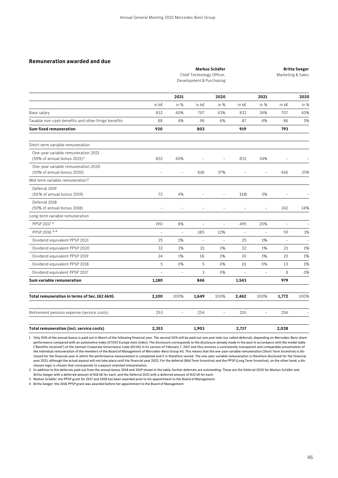|      | Markus Schäfer                                        |      |                   |  |  |
|------|-------------------------------------------------------|------|-------------------|--|--|
|      | Chief Technology Officer,<br>Development & Purchasing |      | Marketing & Sales |  |  |
|      |                                                       |      |                   |  |  |
| 2021 | 2020                                                  | 2021 | 2020              |  |  |

|                                                                                | in $k \in$     | in %                     | in k€                    | in %                     | in $k \in$               | in $%$         | in $k \in$               | in % |
|--------------------------------------------------------------------------------|----------------|--------------------------|--------------------------|--------------------------|--------------------------|----------------|--------------------------|------|
| Base salary                                                                    | 832            | 40%                      | 707                      | 43%                      | 832                      | 34%            | 707                      | 40%  |
| Taxable non-cash benefits and other fringe benefits                            | 88             | 4%                       | 96                       | 6%                       | 87                       | 4%             | 86                       | 5%   |
| <b>Sum fixed remuneration</b>                                                  | 920            |                          | 803                      |                          | 919                      |                | 793                      |      |
| Short-term variable remuneration                                               |                |                          |                          |                          |                          |                |                          |      |
| One-year variable remuneration 2021<br>(50% of annual bonus 2021) <sup>1</sup> | 832            | 40%                      |                          | $\overline{a}$           | 832                      | 34%            |                          |      |
| One-year variable remuneration 2020<br>(50% of annual bonus 2020)              | $\overline{a}$ | $\overline{\phantom{a}}$ | 616                      | 37%                      | $\overline{\phantom{a}}$ | $\overline{a}$ | 616                      | 35%  |
| Mid-term variable remuneration <sup>2</sup>                                    |                |                          |                          |                          |                          |                |                          |      |
| Deferral 2019<br>(50% of annual bonus 2019)                                    | 72             | 4%                       | $\overline{a}$           | $\overline{\phantom{a}}$ | 118                      | 5%             | $\overline{\phantom{a}}$ |      |
| Deferral 2018<br>(50% of annual bonus 2018)                                    | $\overline{a}$ |                          |                          |                          |                          | $\overline{a}$ | 242                      | 14%  |
| Long-term variable remuneration                                                |                |                          |                          |                          |                          |                |                          |      |
| PPSP 2017 <sup>3</sup>                                                         | 190            | 8%                       |                          | $\overline{a}$           | 495                      | 20%            | $\qquad \qquad -$        |      |
| PPSP 2016 3,4                                                                  | $\overline{a}$ | $\overline{\phantom{a}}$ | 185                      | 12%                      | $\overline{a}$           | $\overline{a}$ | 59                       | 3%   |
| Dividend equivalent PPSP 2021                                                  | 25             | 1%                       | $\overline{\phantom{a}}$ | $\overline{a}$           | 25                       | 1%             | $\overline{\phantom{a}}$ |      |
| Dividend equivalent PPSP 2020                                                  | 32             | 2%                       | 21                       | 1%                       | 32                       | 1%             | 21                       | 1%   |
| Dividend equivalent PPSP 2019                                                  | 24             | 1%                       | 16                       | 1%                       | 30                       | 1%             | 20                       | 1%   |
| Dividend equivalent PPSP 2018                                                  | 5              | 0%                       | 5                        | 0%                       | 11                       | 0%             | 13                       | 1%   |
| Dividend equivalent PPSP 2017                                                  | $\overline{a}$ | $\equiv$                 | 3                        | 0%                       | $\equiv$                 | $\equiv$       | 8                        | 0%   |
| Sum variable remuneration                                                      | 1,180          |                          | 846                      |                          | 1,543                    |                | 979                      |      |
| Total remuneration in terms of Sec. 162 AktG                                   | 2,100          | 100%                     | 1,649                    | 100%                     | 2,462                    | 100%           | 1,772                    | 100% |
| Retirement pension expense (service costs)                                     | 253            | $\equiv$                 | 254                      | $\overline{\phantom{a}}$ | 255                      | $\equiv$       | 256                      |      |
| Total remuneration (incl. service costs)                                       | 2,353          |                          | 1,903                    |                          | 2,717                    |                | 2,028                    |      |

1 Only 50% of the annual bonus is paid out in March of the following financial year. The second 50% will be paid out one year later (so-called deferral), depending on Mercedes-Benz share performance compared with an automotive index (STOXX Europe Auto Index). The disclosure corresponds to the disclosure already made in the past in accordance with the model table ("Benefits received") of the German Corporate Governance Code (DCGK) in its version of February 7, 2017 and thus ensures a consistently transparent and comparable presentation of the individual remuneration of the members of the Board of Management of Mercedes-Benz Group AG. This means that the one-year variable remuneration (Short Term Incentive) is disclosed for the financial year in which the performance measurement is completed and it is therefore vested. The one-year variable remuneration is therefore disclosed for the financial year 2021, although the actual payout will not take place until the financial year 2022. For the deferral (Mid Term Incentive) and the PPSP (Long Term Incentive), on the other hand, a disclosure logic is chosen that corresponds to a payout-oriented interpretation.

2 In addition to the deferrals paid out from the annual bonus 2018 and 2019 shown in the table, further deferrals are outstanding. These are the Deferral 2020 for Markus Schäfer and Britta Seeger with a deferred amount of 616 k€ for each, and the Deferral 2021 with a deferred amount of 832 k€ for each.

3 Markus Schäfer: the PPSP grant for 2017 and 2018 has been awarded prior to his appointment to the Board of Management.

4 Britta Seeger: the 2016 PPSP grant was awarded before her appointment to the Board of Management.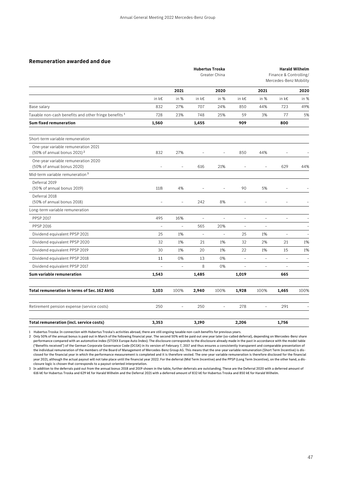|                                                                                | <b>Hubertus Troska</b><br>Greater China |                          |                          |                          | <b>Harald Wilhelm</b><br>Finance & Controlling/<br>Mercedes-Benz Mobility |                          |                          |      |
|--------------------------------------------------------------------------------|-----------------------------------------|--------------------------|--------------------------|--------------------------|---------------------------------------------------------------------------|--------------------------|--------------------------|------|
|                                                                                |                                         | 2021                     |                          | 2020                     |                                                                           | 2021                     |                          | 2020 |
|                                                                                | in k€                                   | in %                     | in k€                    | in %                     | in k€                                                                     | in %                     | in k€                    | in % |
| Base salary                                                                    | 832                                     | 27%                      | 707                      | 24%                      | 850                                                                       | 44%                      | 723                      | 49%  |
| Taxable non-cash benefits and other fringe benefits <sup>1</sup>               | 728                                     | 23%                      | 748                      | 25%                      | 59                                                                        | 3%                       | 77                       | 5%   |
| <b>Sum fixed remuneration</b>                                                  | 1,560                                   |                          | 1,455                    |                          | 909                                                                       |                          | 800                      |      |
| Short-term variable remuneration                                               |                                         |                          |                          |                          |                                                                           |                          |                          |      |
| One-year variable remuneration 2021<br>(50% of annual bonus 2021) <sup>2</sup> | 832                                     | 27%                      | $\frac{1}{2}$            | $\overline{\phantom{0}}$ | 850                                                                       | 44%                      |                          |      |
| One-year variable remuneration 2020<br>(50% of annual bonus 2020)              | $\overline{a}$                          | $\overline{\phantom{a}}$ | 616                      | 21%                      | $\overline{a}$                                                            | $\overline{\phantom{a}}$ | 629                      | 44%  |
| Mid-term variable remuneration <sup>3</sup>                                    |                                         |                          |                          |                          |                                                                           |                          |                          |      |
| Deferral 2019<br>(50% of annual bonus 2019)                                    | 118                                     | 4%                       | $\overline{a}$           | $\overline{a}$           | 90                                                                        | 5%                       |                          |      |
| Deferral 2018<br>(50% of annual bonus 2018)                                    |                                         |                          | 242                      | 8%                       | $\overline{a}$                                                            | $\overline{a}$           |                          |      |
| Long-term variable remuneration                                                |                                         |                          |                          |                          |                                                                           |                          |                          |      |
| <b>PPSP 2017</b>                                                               | 495                                     | 16%                      | $\overline{\phantom{a}}$ | $\overline{\phantom{0}}$ | $\overline{a}$                                                            | $\overline{a}$           | $\overline{a}$           |      |
| <b>PPSP 2016</b>                                                               | $\bar{ }$                               | $\bar{ }$                | 565                      | 20%                      | $\bar{\phantom{a}}$                                                       | $\overline{\phantom{a}}$ |                          |      |
| Dividend equivalent PPSP 2021                                                  | 25                                      | 1%                       | $\overline{\phantom{a}}$ |                          | 25                                                                        | 1%                       | $\overline{\phantom{a}}$ |      |
| Dividend equivalent PPSP 2020                                                  | 32                                      | 1%                       | 21                       | 1%                       | 32                                                                        | 2%                       | 21                       | 1%   |
| Dividend equivalent PPSP 2019                                                  | 30                                      | 1%                       | 20                       | 1%                       | 22                                                                        | 1%                       | 15                       | 1%   |
| Dividend equivalent PPSP 2018                                                  | 11                                      | 0%                       | 13                       | 0%                       | $\overline{a}$                                                            | $\bar{a}$                | $\overline{a}$           |      |
| Dividend equivalent PPSP 2017                                                  | $\overline{a}$                          | $\equiv$                 | 8                        | 0%                       | $\overline{a}$                                                            | $\overline{\phantom{a}}$ | $\overline{a}$           |      |
| Sum variable remuneration                                                      | 1,543                                   |                          | 1,485                    |                          | 1,019                                                                     |                          | 665                      |      |
| <b>Total remuneration in terms of Sec. 162 AktG</b>                            | 3,103                                   | 100%                     | 2,940                    | 100%                     | 1,928                                                                     | 100%                     | 1,465                    | 100% |
| Retirement pension expense (service costs)                                     | 250                                     | $\equiv$                 | 250                      | $\overline{\phantom{0}}$ | 278                                                                       | L.                       | 291                      |      |
| Total remuneration (incl. service costs)                                       | 3,353                                   |                          | 3,190                    |                          | 2,206                                                                     |                          | 1,756                    |      |

1 Hubertus Troska: In connection with Hubertus Troska's activities abroad, there are still ongoing taxable non-cash benefits for previous years.

2 Only 50% of the annual bonus is paid out in March of the following financial year. The second 50% will be paid out one year later (so-called deferral), depending on Mercedes-Benz share performance compared with an automotive index (STOXX Europe Auto Index). The disclosure corresponds to the disclosure already made in the past in accordance with the model table ("Benefits received") of the German Corporate Governance Code (DCGK) in its version of February 7, 2017 and thus ensures a consistently transparent and comparable presentation of the individual remuneration of the members of the Board of Management of Mercedes-Benz Group AG. This means that the one-year variable remuneration (Short Term Incentive) is disclosed for the financial year in which the performance measurement is completed and it is therefore vested. The one-year variable remuneration is therefore disclosed for the financial year 2021, although the actual payout will not take place until the financial year 2022. For the deferral (Mid Term Incentive) and the PPSP (Long Term Incentive), on the other hand, a disclosure logic is chosen that corresponds to a payout-oriented interpretation.

3 In addition to the deferrals paid out from the annual bonus 2018 and 2019 shown in the table, further deferrals are outstanding. These are the Deferral 2020 with a deferred amount of 616 k€ for Hubertus Troska and 629 k€ for Harald Wilhelm and the Deferral 2021 with a deferred amount of 832 k€ for Hubertus Troska and 850 k€ for Harald Wilhelm.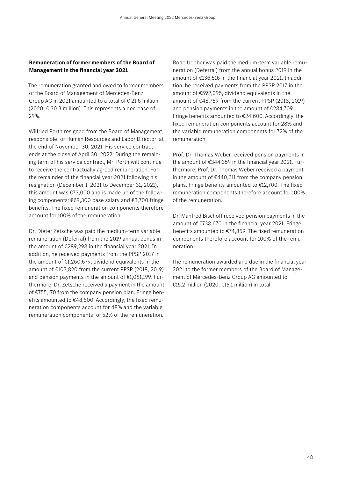### **Remuneration of former members of the Board of Management in the financial year 2021**

The remuneration granted and owed to former members of the Board of Management of Mercedes-Benz Group AG in 2021 amounted to a total of  $\epsilon$  21.6 million (2020: € 30.3 million). This represents a decrease of 29%.

Wilfried Porth resigned from the Board of Management, responsible for Human Resources and Labor Director, at the end of November 30, 2021. His service contract ends at the close of April 30, 2022. During the remaining term of his service contract, Mr. Porth will continue to receive the contractually agreed remuneration. For the remainder of the financial year 2021 following his resignation (December 1, 2021 to December 31, 2021), this amount was €73,000 and is made up of the following components: €69,300 base salary and €3,700 fringe benefits. The fixed remuneration components therefore account for 100% of the remuneration.

Dr. Dieter Zetsche was paid the medium-term variable remuneration (Deferral) from the 2019 annual bonus in the amount of €289,298 in the financial year 2021. In addition, he received payments from the PPSP 2017 in the amount of  $£1,260,679$ , dividend equivalents in the amount of €103,820 from the current PPSP (2018, 2019) and pension payments in the amount of €1,081,199. Furthermore, Dr. Zetsche received a payment in the amount of €755,170 from the company pension plan. Fringe benefits amounted to €48,500. Accordingly, the fixed remuneration components account for 48% and the variable remuneration components for 52% of the remuneration.

Bodo Uebber was paid the medium-term variable remuneration (Deferral) from the annual bonus 2019 in the amount of €136,516 in the financial year 2021. In addition, he received payments from the PPSP 2017 in the amount of €592,095, dividend equivalents in the amount of €48,759 from the current PPSP (2018, 2019) and pension payments in the amount of €284,709. Fringe benefits amounted to €24,600. Accordingly, the fixed remuneration components account for 28% and the variable remuneration components for 72% of the remuneration.

Prof. Dr. Thomas Weber received pension payments in the amount of €344,359 in the financial year 2021. Furthermore, Prof. Dr. Thomas Weber received a payment in the amount of €440,611 from the company pension plans. Fringe benefits amounted to €12,700. The fixed remuneration components therefore account for 100% of the remuneration.

Dr. Manfred Bischoff received pension payments in the amount of €738,670 in the financial year 2021. Fringe benefits amounted to €74,859. The fixed remuneration components therefore account for 100% of the remuneration.

The remuneration awarded and due in the financial year 2021 to the former members of the Board of Management of Mercedes-Benz Group AG amounted to €15.2 million (2020: €15.1 million) in total.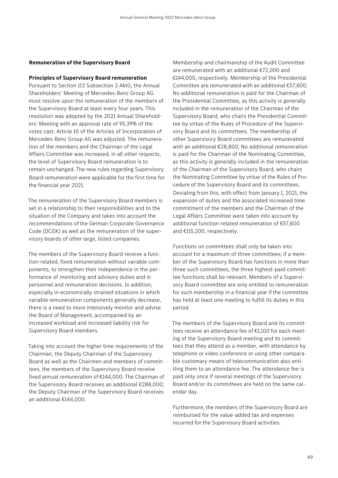### **Remuneration of the Supervisory Board**

### **Principles of Supervisory Board remuneration**

Pursuant to Section 113 Subsection 3 AktG, the Annual Shareholders' Meeting of Mercedes-Benz Group AG must resolve upon the remuneration of the members of the Supervisory Board at least every four years. This resolution was adopted by the 2021 Annual Shareholders' Meeting with an approval rate of 95.39% of the votes cast. Article 10 of the Articles of Incorporation of Mercedes-Benz Group AG was adjusted. The remuneration of the members and the Chairman of the Legal Affairs Committee was increased, in all other respects, the level of Supervisory Board remuneration is to remain unchanged. The new rules regarding Supervisory Board remuneration were applicable for the first time for the financial year 2021.

The remuneration of the Supervisory Board members is set in a relationship to their responsibilities and to the situation of the Company and takes into account the recommendations of the German Corporate Governance Code (DCGK) as well as the remuneration of the supervisory boards of other large, listed companies.

The members of the Supervisory Board receive a function-related, fixed remuneration without variable components, to strengthen their independence in the performance of monitoring and advisory duties and in personnel and remuneration decisions. In addition, especially in economically strained situations in which variable remuneration components generally decrease, there is a need to more intensively monitor and advise the Board of Management, accompanied by an increased workload and increased liability risk for Supervisory Board members.

Taking into account the higher time requirements of the Chairman, the Deputy Chairman of the Supervisory Board as well as the Chairmen and members of committees, the members of the Supervisory Board receive fixed annual remuneration of €144,000. The Chairman of the Supervisory Board receives an additional €288,000; the Deputy Chairman of the Supervisory Board receives an additional €144,000.

Membership and chairmanship of the Audit Committee are remunerated with an additional €72,000 and €144,000, respectively. Membership of the Presidential Committee are remunerated with an additional €57,600. No additional remuneration is paid for the Chairman of the Presidential Committee, as this activity is generally included in the remuneration of the Chairman of the Supervisory Board, who chairs the Presidential Committee by virtue of the Rules of Procedure of the Supervisory Board and its committees. The membership of other Supervisory Board committees are remunerated with an additional €28,800; No additional remuneration is paid for the Chairman of the Nominating Committee, as this activity is generally included in the remuneration of the Chairman of the Supervisory Board, who chairs the Nominating Committee by virtue of the Rules of Procedure of the Supervisory Board and its committees. Deviating from this, with effect from January 1, 2021, the expansion of duties and the associated increased time commitment of the members and the Chairman of the Legal Affairs Committee were taken into account by additional function-related remuneration of €57,600 and €115,200, respectively.

Functions on committees shall only be taken into account for a maximum of three committees; if a member of the Supervisory Board has functions in more than three such committees, the three highest-paid committee functions shall be relevant. Members of a Supervisory Board committee are only entitled to remuneration for such membership in a financial year if the committee has held at least one meeting to fulfill its duties in this period.

The members of the Supervisory Board and its committees receive an attendance fee of €1,100 for each meeting of the Supervisory Board meeting and its committees that they attend as a member, with attendance by telephone or video conference or using other comparable customary means of telecommunication also entitling them to an attendance fee. The attendance fee is paid only once if several meetings of the Supervisory Board and/or its committees are held on the same calendar day.

Furthermore, the members of the Supervisory Board are reimbursed for the value-added tax and expenses incurred for the Supervisory Board activities.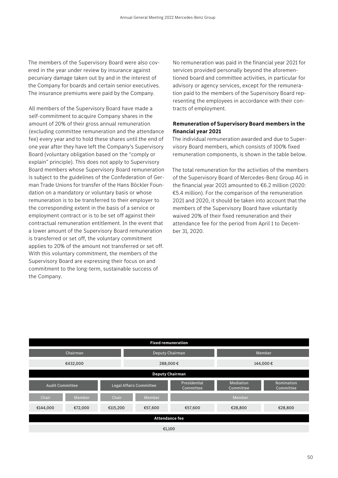The members of the Supervisory Board were also covered in the year under review by insurance against pecuniary damage taken out by and in the interest of the Company for boards and certain senior executives. The insurance premiums were paid by the Company.

All members of the Supervisory Board have made a self-commitment to acquire Company shares in the amount of 20% of their gross annual remuneration (excluding committee remuneration and the attendance fee) every year and to hold these shares until the end of one year after they have left the Company's Supervisory Board (voluntary obligation based on the "comply or explain" principle). This does not apply to Supervisory Board members whose Supervisory Board remuneration is subject to the guidelines of the Confederation of German Trade Unions for transfer of the Hans Böckler Foundation on a mandatory or voluntary basis or whose remuneration is to be transferred to their employer to the corresponding extent in the basis of a service or employment contract or is to be set off against their contractual remuneration entitlement. In the event that a lower amount of the Supervisory Board remuneration is transferred or set off, the voluntary commitment applies to 20% of the amount not transferred or set off. With this voluntary commitment, the members of the Supervisory Board are expressing their focus on and commitment to the long-term, sustainable success of the Company.

No remuneration was paid in the financial year 2021 for services provided personally beyond the aforementioned board and committee activities, in particular for advisory or agency services, except for the remuneration paid to the members of the Supervisory Board representing the employees in accordance with their contracts of employment.

### **Remuneration of Supervisory Board members in the financial year 2021**

The individual remuneration awarded and due to Supervisory Board members, which consists of 100% fixed remuneration components, is shown in the table below.

The total remuneration for the activities of the members of the Supervisory Board of Mercedes-Benz Group AG in the financial year 2021 amounted to €6.2 million (2020: €5.4 million). For the comparison of the remuneration 2021 and 2020, it should be taken into account that the members of the Supervisory Board have voluntarily waived 20% of their fixed remuneration and their attendance fee for the period from April 1 to December 31, 2020.

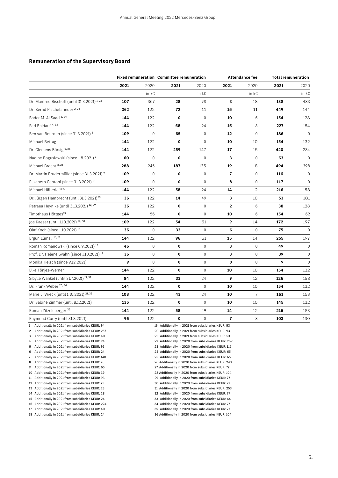### **Remuneration of the Supervisory Board**

|                                                        | <b>Fixed remuneration Committee remuneration</b> |                     |             |              |                         | <b>Attendance fee</b> | <b>Total remuneration</b> |              |
|--------------------------------------------------------|--------------------------------------------------|---------------------|-------------|--------------|-------------------------|-----------------------|---------------------------|--------------|
|                                                        | 2021                                             | 2020                | 2021        | 2020         | 2021                    | 2020                  | 2021                      | 2020         |
|                                                        |                                                  | in $k \in$          |             | in k€        |                         | in k€                 |                           | in k€        |
| Dr. Manfred Bischoff (until 31.3.2021) <sup>1,22</sup> | 107                                              | 367                 | 28          | 98           | 3                       | 18                    | 138                       | 483          |
| Dr. Bernd Pischetsrieder 2, 23                         | 362                                              | 122                 | 72          | 11           | 15                      | 11                    | 449                       | 144          |
| Bader M. Al Saad 3, 24                                 | 144                                              | 122                 | 0           | $\mathbf{0}$ | 10                      | 6                     | 154                       | 128          |
| Sari Baldauf <sup>4,33</sup>                           | 144                                              | 122                 | 68          | 24           | 15                      | 8                     | 227                       | 154          |
| Ben van Beurden (since 31.3.2021) <sup>5</sup>         | 109                                              | 0                   | 65          | $\mathbf{0}$ | 12                      | $\mathbf 0$           | 186                       | $\mathbf{0}$ |
| Michael Bettag                                         | 144                                              | 122                 | 0           | $\mathbf 0$  | 10                      | 10                    | 154                       | 132          |
| Dr. Clemens Börsig 6,25                                | 144                                              | 122                 | 259         | 147          | 17                      | 15                    | 420                       | 284          |
| Nadine Boguslawski (since 1.8.2021) <sup>7</sup>       | 60                                               | $\mathbf{0}$        | 0           | $\mathbf{0}$ | 3                       | $\mathbf 0$           | 63                        | $\Omega$     |
| Michael Brecht <sup>8, 26</sup>                        | 288                                              | 245                 | 187         | 135          | 19                      | 18                    | 494                       | 398          |
| Dr. Martin Brudermüller (since 31.3.2021) 9            | 109                                              | 0                   | 0           | $\mathbb O$  | $\overline{7}$          | 0                     | 116                       | $\mathbf 0$  |
| Elizabeth Centoni (since 31.3.2021) <sup>10</sup>      | 109                                              | $\mathbf{0}$        | 0           | $\mathbf{0}$ | 8                       | $\mathbf 0$           | 117                       | $\mathbf{0}$ |
| Michael Häberle <sup>11,27</sup>                       | 144                                              | 122                 | 58          | 24           | 14                      | 12                    | 216                       | 158          |
| Dr. Jürgen Hambrecht (until 31.3.2021) <sup>28</sup>   | 36                                               | 122                 | 14          | 49           | 3                       | 10                    | 53                        | 181          |
| Petraea Heynike (until 31.3.2021) 12, 29               | 36                                               | 122                 | 0           | $\mathbf{0}$ | $\overline{2}$          | 6                     | 38                        | 128          |
| Timotheus Höttges <sup>13</sup>                        | 144                                              | 56                  | 0           | $\mathbb O$  | 10                      | 6                     | 154                       | 62           |
| Joe Kaeser (until 1.10.2021) 14, 30                    | 109                                              | 122                 | 54          | 61           | 9                       | 14                    | 172                       | 197          |
| Olaf Koch (since 1.10.2021) 15                         | 36                                               | $\mathsf{O}\xspace$ | 33          | $\mathbf{0}$ | 6                       | $\mathbf 0$           | 75                        | $\Omega$     |
| Ergun Lümali <sup>16,31</sup>                          | 144                                              | 122                 | 96          | 61           | 15                      | 14                    | 255                       | 197          |
| Roman Romanowski (since 6.9.2021) <sup>17</sup>        | 46                                               | $\mathbf{0}$        | 0           | $\mathbf{0}$ | 3                       | $\mathbf 0$           | 49                        | $\mathbf 0$  |
| Prof. Dr. Helene Svahn (since 1.10.2021) <sup>18</sup> | 36                                               | $\mathbf{0}$        | 0           | $\mathbf{0}$ | 3                       | $\mathbf 0$           | 39                        | $\mathbf 0$  |
| Monika Tielsch (since 9.12.2021)                       | 9                                                | $\mathbf{0}$        | 0           | $\mathbf{0}$ | 0                       | $\mathbf 0$           | 9                         | $\mathbf{0}$ |
| Elke Tönjes-Werner                                     | 144                                              | 122                 | 0           | $\mathbf 0$  | 10                      | 10                    | 154                       | 132          |
| Sibylle Wankel (until 31.7.2021) <sup>19, 32</sup>     | 84                                               | 122                 | 33          | 24           | 9                       | 12                    | 126                       | 158          |
| Dr. Frank Weber 20, 34                                 | 144                                              | 122                 | 0           | $\Omega$     | 10                      | 10                    | 154                       | 132          |
| Marie L. Wieck (until 1.10.2021) 21, 35                | 108                                              | 122                 | 43          | 24           | 10                      | $\overline{7}$        | 161                       | 153          |
| Dr. Sabine Zimmer (until 8.12.2021)                    | 135                                              | 122                 | $\mathbf 0$ | $\mathbf{0}$ | 10                      | 10                    | 145                       | 132          |
| Roman Zitzelsberger <sup>36</sup>                      | 144                                              | 122                 | 58          | 49           | 14                      | 12                    | 216                       | 183          |
| Raymond Curry (until 31.8.2021)                        | 96                                               | 122                 | 0           | $\mathbf{0}$ | $\overline{\mathbf{r}}$ | 8                     | 103                       | 130          |

2 Additionally in 2021 from subsidiaries KEUR: 257 20 Additionally in 2021 from subsidiaries KEUR: 93

3 Additionally in 2021 from subsidiaries KEUR: 40 21 Additionally in 2021 from subsidiaries KEUR: 53

5 Additionally in 2021 from subsidiaries KEUR: 93 23 Additionally in 2020 from subsidiaries KEUR: 115

6 Additionally in 2021 from subsidiaries KEUR: 24 24 Additionally in 2020 from subsidiaries KEUR: 65 7 Additionally in 2021 from subsidiaries KEUR: 140

10 Additionally in 2021 from subsidiaries KEUR: 39 28 Additionally in 2020 from subsidiaries KEUR: 104

11 Additionally in 2021 from subsidiaries KEUR: 93 29 Additionally in 2020 from subsidiaries KEUR: 77

12 Additionally in 2021 from subsidiaries KEUR: 71 30 Additionally in 2020 from subsidiaries KEUR: 77

13 Additionally in 2021 from subsidiaries KEUR: 23 31 Additionally in 2020 from subsidiaries KEUR: 253

16 Additionally in 2021 from subsidiaries KEUR: 224 34 Additionally in 2020 from subsidiaries KEUR: 77

17 Additionally in 2021 from subsidiaries KEUR: 40 35 Additionally in 2020 from subsidiaries KEUR: 77

1 Additionally in 2021 from subsidiaries KEUR: 94 19 Additionally in 2021 from subsidiaries KEUR: 53

4 Additionally in 2021 from subsidiaries KEUR: 24 22 Additionally in 2020 from subsidiaries KEUR: 262

8 Additionally in 2021 from subsidiaries KEUR: 78 26 Additionally in 2020 from subsidiaries KEUR: 243

9 Additionally in 2021 from subsidiaries KEUR: 65 27 Additionally in 2020 from subsidiaries KEUR: 77

14 Additionally in 2021 from subsidiaries KEUR: 28 32 Additionally in 2020 from subsidiaries KEUR: 77

15 Additionally in 2021 from subsidiaries KEUR: 24 33 Additionally in 2020 from subsidiaries KEUR: 64

18 Additionally in 2021 from subsidiaries KEUR: 24 36 Additionally in 2020 from subsidiaries KEUR: 104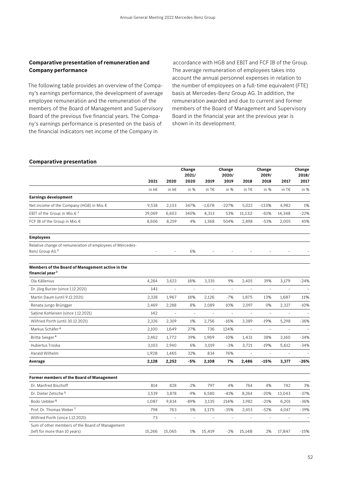### **Comparative presentation of remuneration and Company performance**

The following table provides an overview of the Company's earnings performance, the development of average employee remuneration and the remuneration of the members of the Board of Management and Supervisory Board of the previous five financial years. The Company's earnings performance is presented on the basis of the financial indicators net income of the Company in

accordance with HGB and EBIT and FCF IB of the Group. The average remuneration of employees takes into account the annual personnel expenses in relation to the number of employees on a full-time equivalent (FTE) basis at Mercedes-Benz Group AG. In addition, the remuneration awarded and due to current and former members of the Board of Management and Supervisory Board in the financial year ant the previous year is shown in its development.

### **Comparative presentation**

|                                                                                  |        |                          | Change<br>2021/ |                          | Change<br>2020/ |                          | Change<br>2019/ |                | Change<br>2018/ |
|----------------------------------------------------------------------------------|--------|--------------------------|-----------------|--------------------------|-----------------|--------------------------|-----------------|----------------|-----------------|
|                                                                                  | 2021   | 2020                     | 2020            | 2019                     | 2019            | 2018                     | 2018            | 2017           | 2017            |
|                                                                                  | in k€  | in k€                    | in %            | in T€                    | in %            | in T€                    | in %            | in T€          | in %            |
| <b>Earnings development</b>                                                      |        |                          |                 |                          |                 |                          |                 |                |                 |
| Net income of the Company (HGB) in Mio.€                                         | 9,538  | 2,133                    | 347%            | $-1,678$                 | $-227%$         | 5,022                    | -133%           | 4,982          | 1%              |
| EBIT of the Group in Mio. € $1$                                                  | 29,069 | 6,603                    | 340%            | 4,313                    | 53%             | 11,132                   | $-61%$          | 14,348         | $-22%$          |
| FCF IB of the Group in Mio. €                                                    | 8,606  | 8,259                    | 4%              | 1,368                    | 504%            | 2,898                    | $-53%$          | 2,005          | 45%             |
| <b>Employees</b>                                                                 |        |                          |                 |                          |                 |                          |                 |                |                 |
| Relative change of remuneration of employees of Mercedes-<br>Benz Group AG 2     |        |                          | 6%              |                          |                 |                          |                 |                |                 |
| Members of the Board of Management active in the<br>financial year <sup>3</sup>  |        |                          |                 |                          |                 |                          |                 |                |                 |
| Ola Källenius                                                                    | 4,284  | 3,623                    | 18%             | 3,335                    | 9%              | 2,405                    | 39%             | 3,179          | $-24%$          |
| Dr. Jörg Burzer (since 1.12.2021)                                                | 141    |                          |                 |                          |                 |                          |                 |                |                 |
| Martin Daum (until 9.12.2021)                                                    | 2,328  | 1,967                    | 18%             | 2,126                    | $-7%$           | 1,875                    | 13%             | 1,687          | 11%             |
| Renata Jungo Brüngger                                                            | 2,469  | 2,288                    | 8%              | 2,089                    | 10%             | 2,097                    | 0%              | 2,327          | $-10%$          |
| Sabine Kohleisen (since 1.12.2021)                                               | 142    | $\overline{\phantom{a}}$ | $\overline{a}$  | $\overline{\phantom{a}}$ |                 | $\overline{\phantom{0}}$ |                 |                |                 |
| Wilfried Porth (until 30.12.2021)                                                | 2,326  | 2,309                    | 1%              | 2,756                    | $-16%$          | 3,389                    | $-19%$          | 5,298          | -36%            |
| Markus Schäfer <sup>4</sup>                                                      | 2,100  | 1,649                    | 27%             | 736                      | 124%            | $\overline{\phantom{a}}$ | $\overline{a}$  | $\overline{a}$ |                 |
| Britta Seeger <sup>4</sup>                                                       | 2,462  | 1,772                    | 39%             | 1,969                    | $-10%$          | 1,431                    | 38%             | 2,160          | $-34%$          |
| Hubertus Troska                                                                  | 3,103  | 2,940                    | 6%              | 3,019                    | $-3%$           | 3,721                    | $-19%$          | 5,612          | $-34%$          |
| Harald Wilhelm                                                                   | 1,928  | 1,465                    | 32%             | 834                      | 76%             |                          |                 |                |                 |
| Average                                                                          | 2,128  | 2,252                    | -5%             | 2,108                    | 7%              | 2,486                    | $-15%$          | 3,377          | $-26%$          |
| Former members of the Board of Management                                        |        |                          |                 |                          |                 |                          |                 |                |                 |
| Dr. Manfred Bischoff                                                             | 814    | 828                      | $-2%$           | 797                      | 4%              | 764                      | 4%              | 742            | 3%              |
| Dr. Dieter Zetsche <sup>5</sup>                                                  | 3,539  | 3,878                    | $-9%$           | 6,580                    | -41%            | 8,264                    | $-20%$          | 13,043         | $-37%$          |
| Bodo Uebber <sup>6</sup>                                                         | 1,087  | 9,834                    | $-89%$          | 3,135                    | 214%            | 3,982                    | $-21%$          | 6,201          | $-36%$          |
| Prof. Dr. Thomas Weber <sup>7</sup>                                              | 798    | 763                      | 5%              | 1,175                    | $-35%$          | 2,453                    | $-52%$          | 4,047          | $-39%$          |
| Wilfried Porth (since 1.12.2021)                                                 | 73     | $\equiv$                 | $\overline{a}$  | $\overline{a}$           | $\overline{a}$  | $\overline{a}$           | $\overline{a}$  |                |                 |
| Sum of other members of the Board of Management<br>(left for more than 10 years) | 15,266 | 15,065                   | 1%              | 15,419                   | $-2%$           | 15,148                   | 2%              | 17,847         | $-15%$          |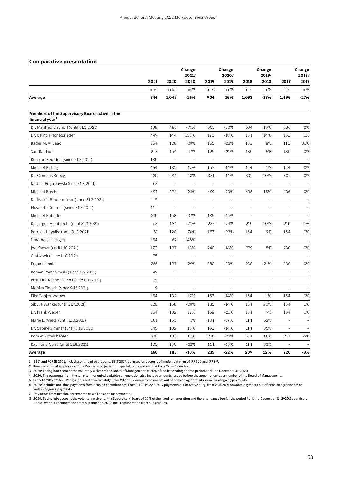### **Comparative presentation**

|                                                                               |       | Change<br>2021/     |                | Change<br>2020/          |                          | Change<br>2019/          |                          |                              | Change<br>2018/              |
|-------------------------------------------------------------------------------|-------|---------------------|----------------|--------------------------|--------------------------|--------------------------|--------------------------|------------------------------|------------------------------|
|                                                                               | 2021  | 2020                | 2020           | 2019                     | 2019                     | 2018                     | 2018                     | 2017                         | 2017                         |
|                                                                               | in k€ | in k€               | in %           | in T€                    | in %                     | in T€                    | in %                     | in $T\epsilon$               | in %                         |
| Average                                                                       | 744   | 1,047               | -29%           | 904                      | 16%                      | 1,093                    | $-17%$                   | 1,496                        | $-27%$                       |
| Members of the Supervisory Board active in the<br>financial year <sup>7</sup> |       |                     |                |                          |                          |                          |                          |                              |                              |
| Dr. Manfred Bischoff (until 31.3.2021)                                        | 138   | 483                 | $-71%$         | 603                      | $-20%$                   | 534                      | 13%                      | 536                          | 0%                           |
| Dr. Bernd Pischetsrieder                                                      | 449   | 144                 | 212%           | 176                      | $-18%$                   | 154                      | 14%                      | 153                          | 1%                           |
| Bader M. Al Saad                                                              | 154   | 128                 | 20%            | 165                      | $-22%$                   | 153                      | 8%                       | 115                          | 33%                          |
| Sari Baldauf                                                                  | 227   | 154                 | 47%            | 195                      | $-21%$                   | 185                      | 5%                       | 185                          | 0%                           |
| Ben van Beurden (since 31.3.2021)                                             | 186   | $\overline{a}$      |                | $\overline{a}$           |                          | $\overline{a}$           |                          | $\overline{a}$               |                              |
| Michael Bettag                                                                | 154   | 132                 | 17%            | 153                      | $-14%$                   | 154                      | $-1%$                    | 154                          | 0%                           |
| Dr. Clemens Börsig                                                            | 420   | 284                 | 48%            | 331                      | $-14%$                   | 302                      | 10%                      | 302                          | 0%                           |
| Nadine Boguslawski (since 1.8.2021)                                           | 63    | $\overline{a}$      | $\overline{a}$ | $\bar{\phantom{a}}$      | $\equiv$                 | $\frac{1}{2}$            | $\overline{a}$           | $\overline{a}$               | $\overline{a}$               |
| Michael Brecht                                                                | 494   | 398                 | 24%            | 499                      | $-20%$                   | 435                      | 15%                      | 436                          | 0%                           |
| Dr. Martin Brudermüller (since 31.3.2021)                                     | 116   | $\equiv$            | ÷              | $\equiv$                 | $\equiv$                 | $\qquad \qquad -$        | $\overline{\phantom{0}}$ | $\qquad \qquad -$            | $\qquad \qquad \blacksquare$ |
| Elizabeth Centoni (since 31.3.2021)                                           | 117   | $\bar{ }$           | $\equiv$       | $\overline{\phantom{a}}$ | $\equiv$                 | $\overline{\phantom{a}}$ | L.                       | $\qquad \qquad -$            | $\overline{a}$               |
| Michael Häberle                                                               | 216   | 158                 | 37%            | 185                      | $-15%$                   | $\bar{\phantom{a}}$      | $\overline{\phantom{0}}$ | $\overline{\phantom{a}}$     | $\qquad \qquad \blacksquare$ |
| Dr. Jürgen Hambrecht (until 31.3.2021)                                        | 53    | 181                 | $-71%$         | 237                      | $-24%$                   | 215                      | 10%                      | 216                          | $-1%$                        |
| Petraea Heynike (until 31.3.2021)                                             | 38    | 128                 | $-70%$         | 167                      | $-23%$                   | 154                      | 9%                       | 154                          | 0%                           |
| Timotheus Höttges                                                             | 154   | 62                  | 148%           | $\bar{\mathbb{Z}}$       | $\overline{\phantom{a}}$ | $\frac{1}{2}$            | $\overline{\phantom{0}}$ | $\bar{ }$                    | $\equiv$                     |
| Joe Kaeser (until 1.10.2021)                                                  | 172   | 197                 | $-13%$         | 240                      | $-18%$                   | 229                      | 5%                       | 230                          | 0%                           |
| Olaf Koch (since 1.10.2021)                                                   | 75    | $\equiv$            |                | $\equiv$                 |                          | $\overline{a}$           |                          |                              |                              |
| Ergun Lümali                                                                  | 255   | 197                 | 29%            | 280                      | $-30%$                   | 230                      | 21%                      | 230                          | 0%                           |
| Roman Romanowski (since 6.9.2021)                                             | 49    | $\overline{a}$      |                | $\overline{a}$           |                          | $\overline{a}$           | $\overline{a}$           | $\overline{a}$               | $\overline{a}$               |
| Prof. Dr. Helene Svahn (since 1.10.2021)                                      | 39    | $\overline{a}$      | $\overline{a}$ | $\overline{a}$           | $\overline{a}$           | $\frac{1}{2}$            | $\overline{a}$           | $\qquad \qquad \blacksquare$ | $\qquad \qquad \blacksquare$ |
| Monika Tielsch (since 9.12.2021)                                              | 9     | $\bar{\phantom{a}}$ |                | $\overline{\phantom{a}}$ |                          | $\qquad \qquad -$        | $\overline{a}$           | $\frac{1}{2}$                | $\frac{1}{2}$                |
| Elke Tönjes-Werner                                                            | 154   | 132                 | 17%            | 153                      | $-14%$                   | 154                      | $-1%$                    | 154                          | 0%                           |
| Sibylle Wankel (until 31.7.2021)                                              | 126   | 158                 | $-20%$         | 185                      | $-14%$                   | 154                      | 20%                      | 154                          | 0%                           |
| Dr. Frank Weber                                                               | 154   | 132                 | 17%            | 168                      | $-21%$                   | 154                      | 9%                       | 154                          | 0%                           |
| Marie L. Wieck (until 1.10.2021)                                              | 161   | 153                 | 5%             | 184                      | $-17%$                   | 114                      | 62%                      | $\frac{1}{2}$                | $\overline{a}$               |
| Dr. Sabine Zimmer (until 8.12.2021)                                           | 145   | 132                 | 10%            | 153                      | $-14%$                   | 114                      | 35%                      | $\equiv$                     |                              |
| Roman Zitzelsberger                                                           | 216   | 183                 | 18%            | 236                      | $-22%$                   | 214                      | 11%                      | 217                          | $-2%$                        |
| Raymond Curry (until 31.8.2021)                                               | 103   | 130                 | $-22%$         | 151                      | $-13%$                   | 114                      | 33%                      |                              |                              |
| Average                                                                       | 166   | 183                 | $-10%$         | 235                      | $-22%$                   | 209                      | 12%                      | 226                          | -8%                          |

1 EBIT and FCF IB 2021: incl. discontinued operations. EBIT 2017: adjusted on account of implementation of IFRS 15 and IFRS 9.

2 Remuneration of employees of the Company: adjusted for special items and without Long Term Incentive.

3 2020: Taking into account the voluntary waiver of the Board of Management of 20% of the base salary for the period April 1 to December 31, 2020.

4 2020: The payments from the long-term oriented variable remuneration also include amounts issued before the appointment as a member of the Board of Management.

5 From 1.1.2019-22.5.2019 payments out of active duty, from 23.5.2019 onwards payments out of pension agreements as well as ongoing payments.

6 2020: includes one-time payments from pension commitments. From 1.1.2019-22.5.2019 payments out of active duty, from 23.5.2019 onwards payments out of pension agreements as well as ongoing payments.

7 Payments from pension agreements as well as ongoing payments.

8 2020: Taking into account the voluntary waiver of the Supervisory Board of 20% of the fixed remuneration and the attendance fee for the period April 1 to December 31, 2020.Supervisory Board: without remuneration from subsidiaries. 2019: incl. remuneration from subsidiaries.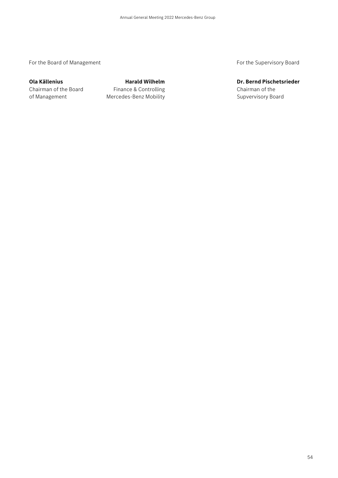For the Board of Management **For the Supervisory Board** For the Supervisory Board

Chairman of the Board **Finance & Controlling** Chairman of the Chairman of the of Management **Mercedes-Benz Mobility** Monoster And Supvervisory Board

**Ola Källenius Community Community Harald Wilhelm Community Community Community Dr. Bernd Pischetsrieder**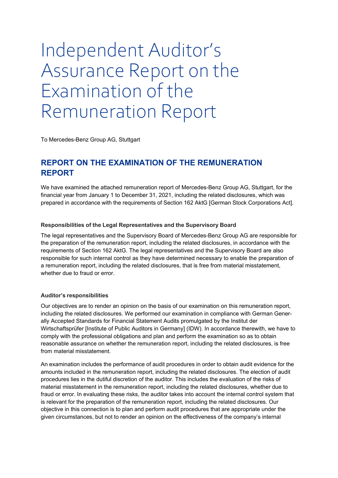# Independent Auditor's Assurance Report on the Examination of the Remuneration Report

To Mercedes-Benz Group AG, Stuttgart

# **REPORT ON THE EXAMINATION OF THE REMUNERATION REPORT**

We have examined the attached remuneration report of Mercedes-Benz Group AG, Stuttgart, for the financial year from January 1 to December 31, 2021, including the related disclosures, which was prepared in accordance with the requirements of Section 162 AktG [German Stock Corporations Act].

### **Responsibilities of the Legal Representatives and the Supervisory Board**

The legal representatives and the Supervisory Board of Mercedes-Benz Group AG are responsible for the preparation of the remuneration report, including the related disclosures, in accordance with the requirements of Section 162 AktG. The legal representatives and the Supervisory Board are also responsible for such internal control as they have determined necessary to enable the preparation of a remuneration report, including the related disclosures, that is free from material misstatement, whether due to fraud or error.

### **Auditor's responsibilities**

Our objectives are to render an opinion on the basis of our examination on this remuneration report, including the related disclosures. We performed our examination in compliance with German Generally Accepted Standards for Financial Statement Audits promulgated by the Institut der Wirtschaftsprüfer [Institute of Public Auditors in Germany] (IDW). In accordance therewith, we have to comply with the professional obligations and plan and perform the examination so as to obtain reasonable assurance on whether the remuneration report, including the related disclosures, is free from material misstatement.

An examination includes the performance of audit procedures in order to obtain audit evidence for the amounts included in the remuneration report, including the related disclosures. The election of audit procedures lies in the dutiful discretion of the auditor. This includes the evaluation of the risks of material misstatement in the remuneration report, including the related disclosures, whether due to fraud or error. In evaluating these risks, the auditor takes into account the internal control system that is relevant for the preparation of the remuneration report, including the related disclosures. Our objective in this connection is to plan and perform audit procedures that are appropriate under the given circumstances, but not to render an opinion on the effectiveness of the company's internal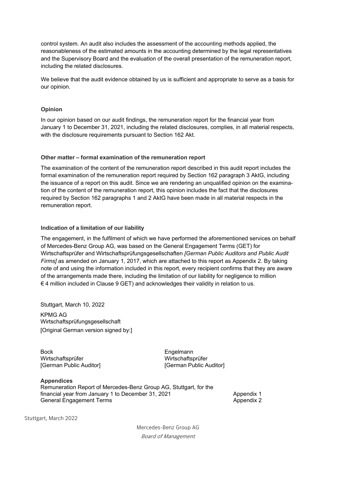control system. An audit also includes the assessment of the accounting methods applied, the reasonableness of the estimated amounts in the accounting determined by the legal representatives and the Supervisory Board and the evaluation of the overall presentation of the remuneration report, including the related disclosures.

We believe that the audit evidence obtained by us is sufficient and appropriate to serve as a basis for our opinion.

### **Opinion**

In our opinion based on our audit findings, the remuneration report for the financial year from January 1 to December 31, 2021, including the related disclosures, complies, in all material respects, with the disclosure requirements pursuant to Section 162 Akt.

### **Other matter – formal examination of the remuneration report**

The examination of the content of the remuneration report described in this audit report includes the formal examination of the remuneration report required by Section 162 paragraph 3 AktG, including the issuance of a report on this audit. Since we are rendering an unqualified opinion on the examination of the content of the remuneration report, this opinion includes the fact that the disclosures required by Section 162 paragraphs 1 and 2 AktG have been made in all material respects in the remuneration report.

### **Indication of a limitation of our liability**

The engagement, in the fulfilment of which we have performed the aforementioned services on behalf of Mercedes-Benz Group AG, was based on the General Engagement Terms (GET) for Wirtschaftsprüfer and Wirtschaftsprüfungsgesellschaften *[German Public Auditors and Public Audit Firms]* as amended on January 1, 2017, which are attached to this report as Appendix 2. By taking note of and using the information included in this report, every recipient confirms that they are aware of the arrangements made there, including the limitation of our liability for negligence to million  $€$  4 million included in Clause 9 GET) and acknowledges their validity in relation to us.

Stuttgart, March 10, 2022

KPMG AG Wirtschaftsprüfungsgesellschaft [Original German version signed by:]

Bock Wirtschaftsprüfer [German Public Auditor]

Engelmann Wirtschaftsprüfer [German Public Auditor]

**Appendices**  Remuneration Report of Mercedes-Benz Group AG, Stuttgart, for the financial year from January 1 to December 31, 2021 Appendix 1 General Engagement Terms **Appendix 2** Appendix 2

Stuttgart, March 2022

Mercedes-Benz Group AG Board of Management